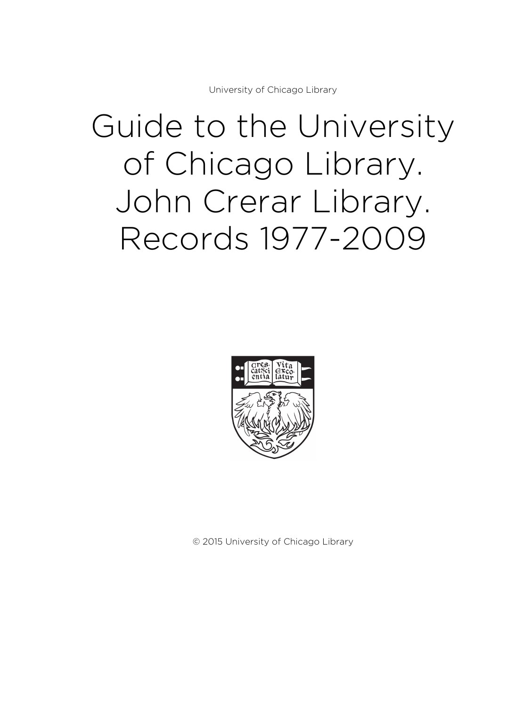University of Chicago Library

# Guide to the University of Chicago Library. John Crerar Library. Records 1977-2009



© 2015 University of Chicago Library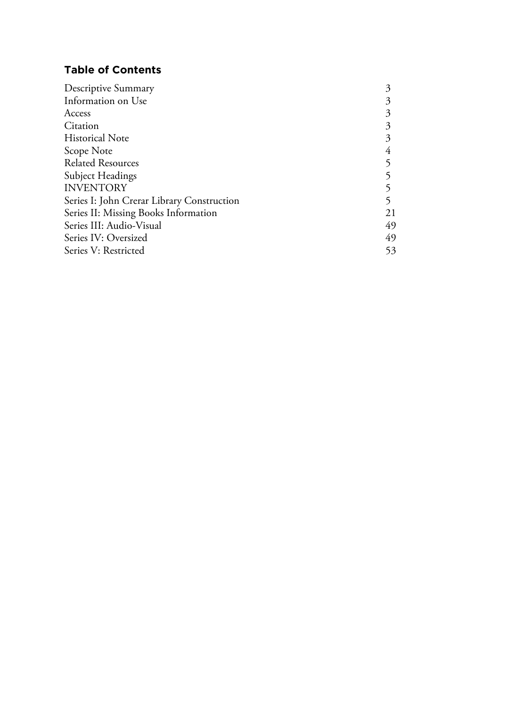# **Table of Contents**

| Descriptive Summary                        | 3  |
|--------------------------------------------|----|
| Information on Use                         |    |
| Access                                     |    |
| Citation                                   |    |
| <b>Historical Note</b>                     |    |
| Scope Note                                 |    |
| <b>Related Resources</b>                   |    |
| <b>Subject Headings</b>                    |    |
| <b>INVENTORY</b>                           |    |
| Series I: John Crerar Library Construction |    |
| Series II: Missing Books Information       | 21 |
| Series III: Audio-Visual                   | 49 |
| Series IV: Oversized                       | 49 |
| Series V: Restricted                       | 53 |
|                                            |    |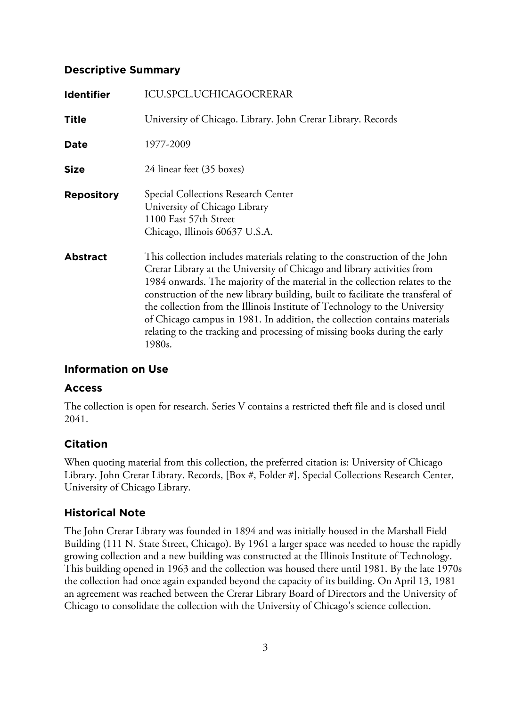# **Descriptive Summary**

| <b>Identifier</b> | <b>ICU.SPCL.UCHICAGOCRERAR</b>                                                                                                                                                                                                                                                                                                                                                                                                                                                                                                                                             |
|-------------------|----------------------------------------------------------------------------------------------------------------------------------------------------------------------------------------------------------------------------------------------------------------------------------------------------------------------------------------------------------------------------------------------------------------------------------------------------------------------------------------------------------------------------------------------------------------------------|
| <b>Title</b>      | University of Chicago. Library. John Crerar Library. Records                                                                                                                                                                                                                                                                                                                                                                                                                                                                                                               |
| Date              | 1977-2009                                                                                                                                                                                                                                                                                                                                                                                                                                                                                                                                                                  |
| <b>Size</b>       | 24 linear feet (35 boxes)                                                                                                                                                                                                                                                                                                                                                                                                                                                                                                                                                  |
| <b>Repository</b> | Special Collections Research Center<br>University of Chicago Library<br>1100 East 57th Street<br>Chicago, Illinois 60637 U.S.A.                                                                                                                                                                                                                                                                                                                                                                                                                                            |
| <b>Abstract</b>   | This collection includes materials relating to the construction of the John<br>Crerar Library at the University of Chicago and library activities from<br>1984 onwards. The majority of the material in the collection relates to the<br>construction of the new library building, built to facilitate the transferal of<br>the collection from the Illinois Institute of Technology to the University<br>of Chicago campus in 1981. In addition, the collection contains materials<br>relating to the tracking and processing of missing books during the early<br>1980s. |

# **Information on Use**

# **Access**

The collection is open for research. Series V contains a restricted theft file and is closed until 2041.

# **Citation**

When quoting material from this collection, the preferred citation is: University of Chicago Library. John Crerar Library. Records, [Box #, Folder #], Special Collections Research Center, University of Chicago Library.

# **Historical Note**

The John Crerar Library was founded in 1894 and was initially housed in the Marshall Field Building (111 N. State Street, Chicago). By 1961 a larger space was needed to house the rapidly growing collection and a new building was constructed at the Illinois Institute of Technology. This building opened in 1963 and the collection was housed there until 1981. By the late 1970s the collection had once again expanded beyond the capacity of its building. On April 13, 1981 an agreement was reached between the Crerar Library Board of Directors and the University of Chicago to consolidate the collection with the University of Chicago's science collection.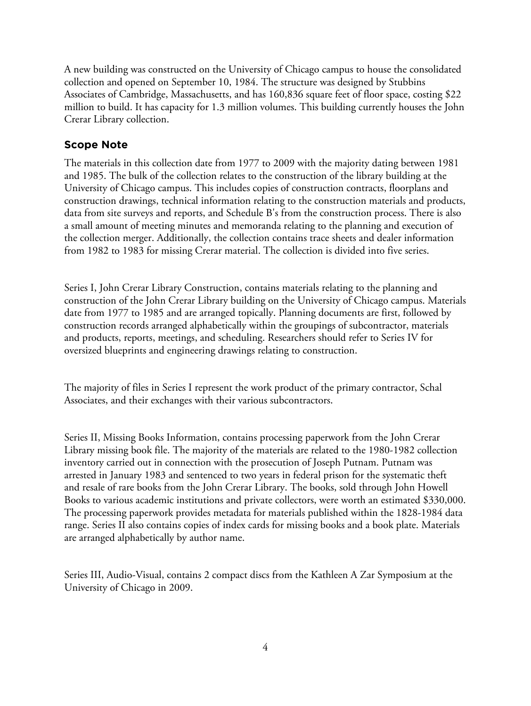A new building was constructed on the University of Chicago campus to house the consolidated collection and opened on September 10, 1984. The structure was designed by Stubbins Associates of Cambridge, Massachusetts, and has 160,836 square feet of floor space, costing \$22 million to build. It has capacity for 1.3 million volumes. This building currently houses the John Crerar Library collection.

# **Scope Note**

The materials in this collection date from 1977 to 2009 with the majority dating between 1981 and 1985. The bulk of the collection relates to the construction of the library building at the University of Chicago campus. This includes copies of construction contracts, floorplans and construction drawings, technical information relating to the construction materials and products, data from site surveys and reports, and Schedule B's from the construction process. There is also a small amount of meeting minutes and memoranda relating to the planning and execution of the collection merger. Additionally, the collection contains trace sheets and dealer information from 1982 to 1983 for missing Crerar material. The collection is divided into five series.

Series I, John Crerar Library Construction, contains materials relating to the planning and construction of the John Crerar Library building on the University of Chicago campus. Materials date from 1977 to 1985 and are arranged topically. Planning documents are first, followed by construction records arranged alphabetically within the groupings of subcontractor, materials and products, reports, meetings, and scheduling. Researchers should refer to Series IV for oversized blueprints and engineering drawings relating to construction.

The majority of files in Series I represent the work product of the primary contractor, Schal Associates, and their exchanges with their various subcontractors.

Series II, Missing Books Information, contains processing paperwork from the John Crerar Library missing book file. The majority of the materials are related to the 1980-1982 collection inventory carried out in connection with the prosecution of Joseph Putnam. Putnam was arrested in January 1983 and sentenced to two years in federal prison for the systematic theft and resale of rare books from the John Crerar Library. The books, sold through John Howell Books to various academic institutions and private collectors, were worth an estimated \$330,000. The processing paperwork provides metadata for materials published within the 1828-1984 data range. Series II also contains copies of index cards for missing books and a book plate. Materials are arranged alphabetically by author name.

Series III, Audio-Visual, contains 2 compact discs from the Kathleen A Zar Symposium at the University of Chicago in 2009.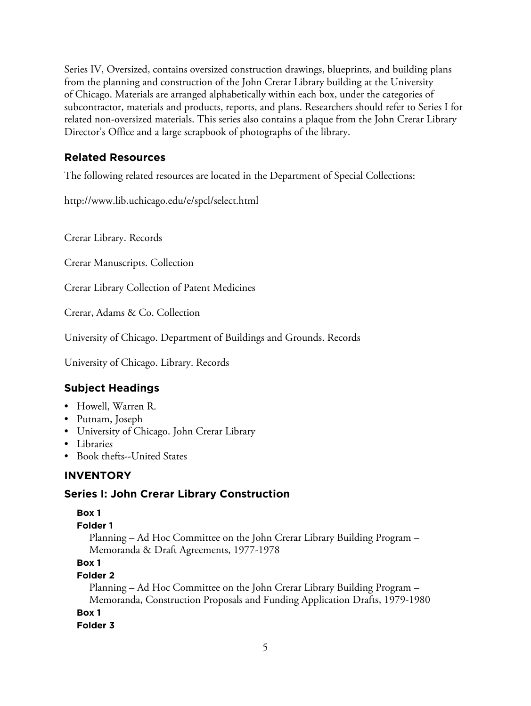Series IV, Oversized, contains oversized construction drawings, blueprints, and building plans from the planning and construction of the John Crerar Library building at the University of Chicago. Materials are arranged alphabetically within each box, under the categories of subcontractor, materials and products, reports, and plans. Researchers should refer to Series I for related non-oversized materials. This series also contains a plaque from the John Crerar Library Director's Office and a large scrapbook of photographs of the library.

# **Related Resources**

The following related resources are located in the Department of Special Collections:

http://www.lib.uchicago.edu/e/spcl/select.html

Crerar Library. Records

Crerar Manuscripts. Collection

Crerar Library Collection of Patent Medicines

Crerar, Adams & Co. Collection

University of Chicago. Department of Buildings and Grounds. Records

University of Chicago. Library. Records

# **Subject Headings**

- Howell, Warren R.
- Putnam, Joseph
- University of Chicago. John Crerar Library
- Libraries
- Book thefts--United States

# **INVENTORY**

# **Series I: John Crerar Library Construction**

## **Box 1**

## **Folder 1**

Planning – Ad Hoc Committee on the John Crerar Library Building Program – Memoranda & Draft Agreements, 1977-1978

## **Box 1**

## **Folder 2**

Planning – Ad Hoc Committee on the John Crerar Library Building Program – Memoranda, Construction Proposals and Funding Application Drafts, 1979-1980

## **Box 1**

**Folder 3**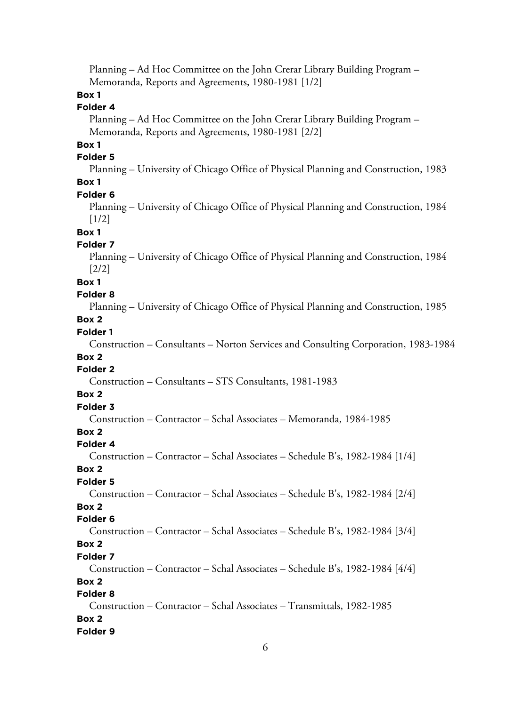Planning – Ad Hoc Committee on the John Crerar Library Building Program – Memoranda, Reports and Agreements, 1980-1981 [1/2]

## **Box 1**

## **Folder 4**

Planning – Ad Hoc Committee on the John Crerar Library Building Program – Memoranda, Reports and Agreements, 1980-1981 [2/2]

# **Box 1**

## **Folder 5**

Planning – University of Chicago Office of Physical Planning and Construction, 1983 **Box 1**

#### **Folder 6**

Planning – University of Chicago Office of Physical Planning and Construction, 1984 [1/2]

#### **Box 1**

## **Folder 7**

Planning – University of Chicago Office of Physical Planning and Construction, 1984 [2/2]

#### **Box 1**

#### **Folder 8**

Planning – University of Chicago Office of Physical Planning and Construction, 1985

## **Box 2**

## **Folder 1**

Construction – Consultants – Norton Services and Consulting Corporation, 1983-1984 **Box 2**

# **Folder 2**

Construction – Consultants – STS Consultants, 1981-1983

#### **Box 2**

# **Folder 3**

Construction – Contractor – Schal Associates – Memoranda, 1984-1985

## **Box 2**

#### **Folder 4**

Construction – Contractor – Schal Associates – Schedule B's, 1982-1984 [1/4]

#### **Box 2**

## **Folder 5**

Construction – Contractor – Schal Associates – Schedule B's, 1982-1984 [2/4]

## **Box 2**

## **Folder 6**

Construction – Contractor – Schal Associates – Schedule B's, 1982-1984 [3/4]

# **Box 2**

## **Folder 7**

Construction – Contractor – Schal Associates – Schedule B's, 1982-1984 [4/4]

# **Box 2**

# **Folder 8**

Construction – Contractor – Schal Associates – Transmittals, 1982-1985 **Box 2**

## **Folder 9**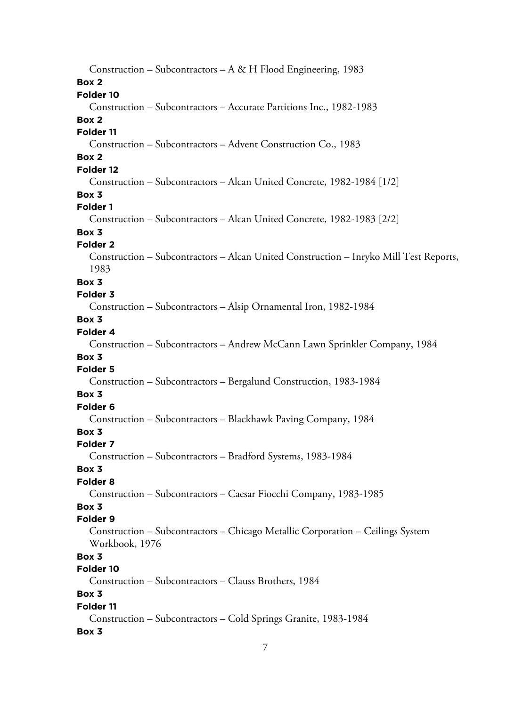Construction – Subcontractors – A & H Flood Engineering, 1983 **Box 2 Folder 10** Construction – Subcontractors – Accurate Partitions Inc., 1982-1983 **Box 2 Folder 11** Construction – Subcontractors – Advent Construction Co., 1983 **Box 2 Folder 12** Construction – Subcontractors – Alcan United Concrete, 1982-1984 [1/2] **Box 3 Folder 1** Construction – Subcontractors – Alcan United Concrete, 1982-1983 [2/2] **Box 3 Folder 2** Construction – Subcontractors – Alcan United Construction – Inryko Mill Test Reports, 1983 **Box 3 Folder 3** Construction – Subcontractors – Alsip Ornamental Iron, 1982-1984 **Box 3 Folder 4** Construction – Subcontractors – Andrew McCann Lawn Sprinkler Company, 1984 **Box 3 Folder 5** Construction – Subcontractors – Bergalund Construction, 1983-1984 **Box 3 Folder 6** Construction – Subcontractors – Blackhawk Paving Company, 1984 **Box 3 Folder 7** Construction – Subcontractors – Bradford Systems, 1983-1984 **Box 3 Folder 8** Construction – Subcontractors – Caesar Fiocchi Company, 1983-1985 **Box 3 Folder 9** Construction – Subcontractors – Chicago Metallic Corporation – Ceilings System Workbook, 1976 **Box 3 Folder 10** Construction – Subcontractors – Clauss Brothers, 1984 **Box 3 Folder 11** Construction – Subcontractors – Cold Springs Granite, 1983-1984 **Box 3**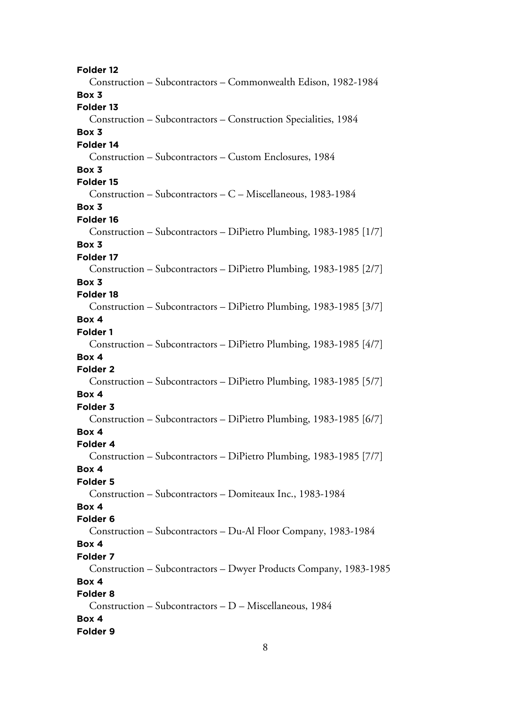**Folder 12** Construction – Subcontractors – Commonwealth Edison, 1982-1984 **Box 3 Folder 13** Construction – Subcontractors – Construction Specialities, 1984 **Box 3 Folder 14** Construction – Subcontractors – Custom Enclosures, 1984 **Box 3 Folder 15** Construction – Subcontractors – C – Miscellaneous, 1983-1984 **Box 3 Folder 16** Construction – Subcontractors – DiPietro Plumbing, 1983-1985 [1/7] **Box 3 Folder 17** Construction – Subcontractors – DiPietro Plumbing, 1983-1985 [2/7] **Box 3 Folder 18** Construction – Subcontractors – DiPietro Plumbing, 1983-1985 [3/7] **Box 4 Folder 1** Construction – Subcontractors – DiPietro Plumbing, 1983-1985 [4/7] **Box 4 Folder 2** Construction – Subcontractors – DiPietro Plumbing, 1983-1985 [5/7] **Box 4 Folder 3** Construction – Subcontractors – DiPietro Plumbing, 1983-1985 [6/7] **Box 4 Folder 4** Construction – Subcontractors – DiPietro Plumbing, 1983-1985 [7/7] **Box 4 Folder 5** Construction – Subcontractors – Domiteaux Inc., 1983-1984 **Box 4 Folder 6** Construction – Subcontractors – Du-Al Floor Company, 1983-1984 **Box 4 Folder 7** Construction – Subcontractors – Dwyer Products Company, 1983-1985 **Box 4 Folder 8** Construction – Subcontractors – D – Miscellaneous, 1984 **Box 4 Folder 9**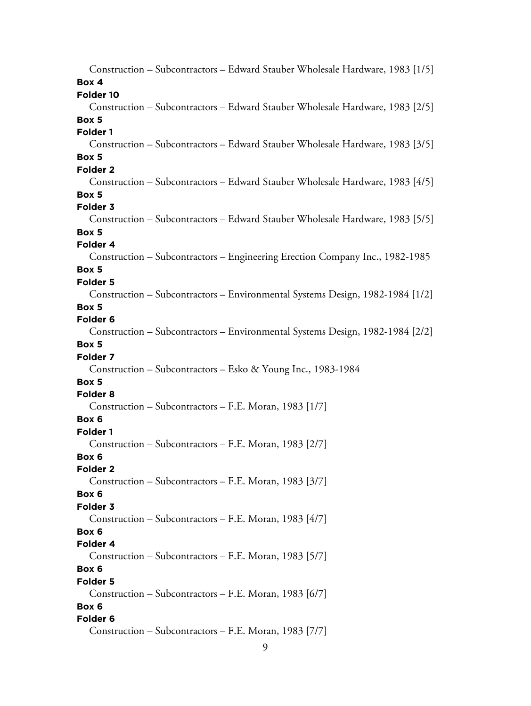| Construction - Subcontractors - Edward Stauber Wholesale Hardware, 1983 [1/5] |
|-------------------------------------------------------------------------------|
| Box 4                                                                         |
| Folder 10                                                                     |
| Construction – Subcontractors – Edward Stauber Wholesale Hardware, 1983 [2/5] |
| Box 5                                                                         |
| Folder 1                                                                      |
| Construction – Subcontractors – Edward Stauber Wholesale Hardware, 1983 [3/5] |
| Box 5                                                                         |
| Folder <sub>2</sub>                                                           |
| Construction – Subcontractors – Edward Stauber Wholesale Hardware, 1983 [4/5] |
| Box 5                                                                         |
| Folder 3                                                                      |
| Construction - Subcontractors - Edward Stauber Wholesale Hardware, 1983 [5/5] |
| Box 5                                                                         |
| Folder 4                                                                      |
| Construction - Subcontractors - Engineering Erection Company Inc., 1982-1985  |
| Box 5                                                                         |
| Folder <sub>5</sub>                                                           |
| Construction - Subcontractors - Environmental Systems Design, 1982-1984 [1/2] |
| Box 5                                                                         |
| Folder <sub>6</sub>                                                           |
| Construction - Subcontractors - Environmental Systems Design, 1982-1984 [2/2] |
| Box 5                                                                         |
| Folder 7                                                                      |
| Construction - Subcontractors - Esko & Young Inc., 1983-1984                  |
| Box 5                                                                         |
| Folder <sub>8</sub>                                                           |
| Construction – Subcontractors – F.E. Moran, 1983 [1/7]                        |
| Box 6                                                                         |
| Folder 1                                                                      |
| Construction – Subcontractors – F.E. Moran, 1983 [2/7]                        |
| Box 6<br>Folder <sub>2</sub>                                                  |
| Construction – Subcontractors – F.E. Moran, 1983 [3/7]                        |
| Box 6                                                                         |
| Folder 3                                                                      |
| Construction – Subcontractors – F.E. Moran, 1983 [4/7]                        |
| Box 6                                                                         |
| Folder 4                                                                      |
| Construction – Subcontractors – F.E. Moran, 1983 [5/7]                        |
| Box 6                                                                         |
| <b>Folder 5</b>                                                               |
| Construction – Subcontractors – F.E. Moran, 1983 [6/7]                        |
| Box 6                                                                         |
| Folder <sub>6</sub>                                                           |
| Construction – Subcontractors – F.E. Moran, 1983 [7/7]                        |
|                                                                               |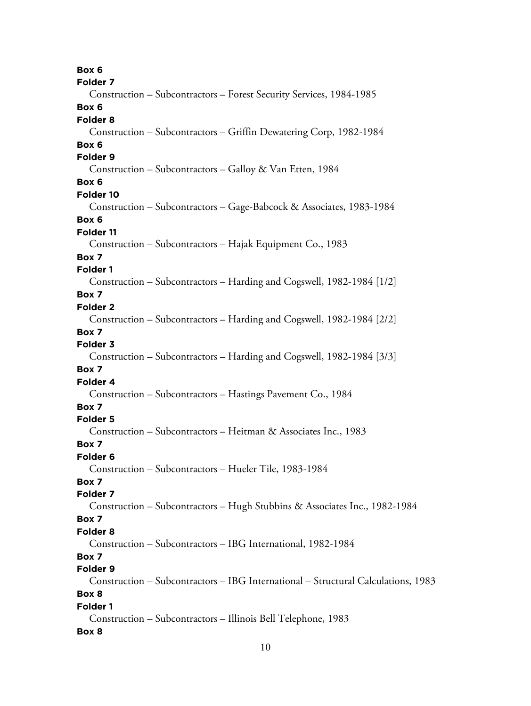**Box 6 Folder 7** Construction – Subcontractors – Forest Security Services, 1984-1985 **Box 6 Folder 8** Construction – Subcontractors – Griffin Dewatering Corp, 1982-1984 **Box 6 Folder 9** Construction – Subcontractors – Galloy & Van Etten, 1984 **Box 6 Folder 10** Construction – Subcontractors – Gage-Babcock & Associates, 1983-1984 **Box 6 Folder 11** Construction – Subcontractors – Hajak Equipment Co., 1983 **Box 7 Folder 1** Construction – Subcontractors – Harding and Cogswell, 1982-1984 [1/2] **Box 7 Folder 2** Construction – Subcontractors – Harding and Cogswell, 1982-1984 [2/2] **Box 7 Folder 3** Construction – Subcontractors – Harding and Cogswell, 1982-1984 [3/3] **Box 7 Folder 4** Construction – Subcontractors – Hastings Pavement Co., 1984 **Box 7 Folder 5** Construction – Subcontractors – Heitman & Associates Inc., 1983 **Box 7 Folder 6** Construction – Subcontractors – Hueler Tile, 1983-1984 **Box 7 Folder 7** Construction – Subcontractors – Hugh Stubbins & Associates Inc., 1982-1984 **Box 7 Folder 8** Construction – Subcontractors – IBG International, 1982-1984 **Box 7 Folder 9** Construction – Subcontractors – IBG International – Structural Calculations, 1983 **Box 8 Folder 1** Construction – Subcontractors – Illinois Bell Telephone, 1983 **Box 8**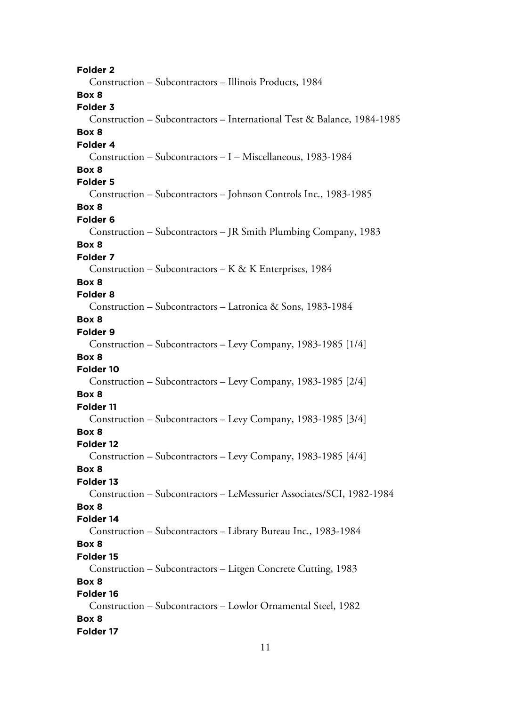**Folder 2** Construction – Subcontractors – Illinois Products, 1984 **Box 8 Folder 3** Construction – Subcontractors – International Test & Balance, 1984-1985 **Box 8 Folder 4** Construction – Subcontractors – I – Miscellaneous, 1983-1984 **Box 8 Folder 5** Construction – Subcontractors – Johnson Controls Inc., 1983-1985 **Box 8 Folder 6** Construction – Subcontractors – JR Smith Plumbing Company, 1983 **Box 8 Folder 7** Construction – Subcontractors – K & K Enterprises, 1984 **Box 8 Folder 8** Construction – Subcontractors – Latronica & Sons, 1983-1984 **Box 8 Folder 9** Construction – Subcontractors – Levy Company, 1983-1985 [1/4] **Box 8 Folder 10** Construction – Subcontractors – Levy Company, 1983-1985 [2/4] **Box 8 Folder 11** Construction – Subcontractors – Levy Company, 1983-1985 [3/4] **Box 8 Folder 12** Construction – Subcontractors – Levy Company, 1983-1985 [4/4] **Box 8 Folder 13** Construction – Subcontractors – LeMessurier Associates/SCI, 1982-1984 **Box 8 Folder 14** Construction – Subcontractors – Library Bureau Inc., 1983-1984 **Box 8 Folder 15** Construction – Subcontractors – Litgen Concrete Cutting, 1983 **Box 8 Folder 16** Construction – Subcontractors – Lowlor Ornamental Steel, 1982 **Box 8 Folder 17**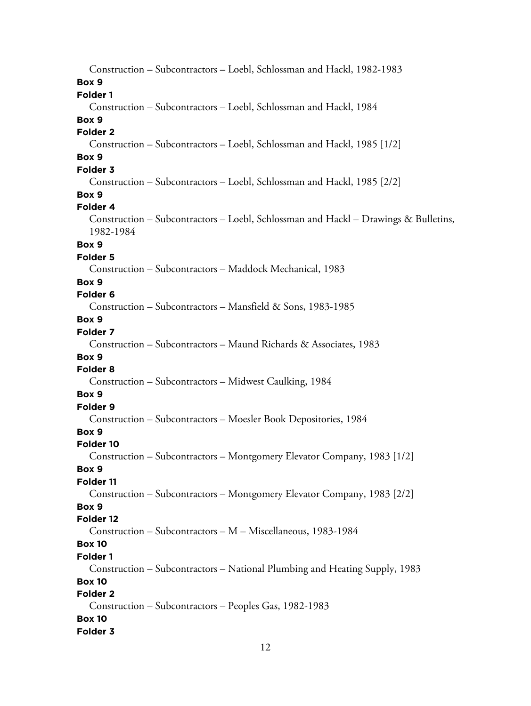Construction – Subcontractors – Loebl, Schlossman and Hackl, 1982-1983 **Box 9 Folder 1** Construction – Subcontractors – Loebl, Schlossman and Hackl, 1984 **Box 9 Folder 2** Construction – Subcontractors – Loebl, Schlossman and Hackl, 1985 [1/2] **Box 9 Folder 3** Construction – Subcontractors – Loebl, Schlossman and Hackl, 1985 [2/2] **Box 9 Folder 4** Construction – Subcontractors – Loebl, Schlossman and Hackl – Drawings & Bulletins, 1982-1984 **Box 9 Folder 5** Construction – Subcontractors – Maddock Mechanical, 1983 **Box 9 Folder 6** Construction – Subcontractors – Mansfield & Sons, 1983-1985 **Box 9 Folder 7** Construction – Subcontractors – Maund Richards & Associates, 1983 **Box 9 Folder 8** Construction – Subcontractors – Midwest Caulking, 1984 **Box 9 Folder 9** Construction – Subcontractors – Moesler Book Depositories, 1984 **Box 9 Folder 10** Construction – Subcontractors – Montgomery Elevator Company, 1983 [1/2] **Box 9 Folder 11** Construction – Subcontractors – Montgomery Elevator Company, 1983 [2/2] **Box 9 Folder 12** Construction – Subcontractors – M – Miscellaneous, 1983-1984 **Box 10 Folder 1** Construction – Subcontractors – National Plumbing and Heating Supply, 1983 **Box 10 Folder 2** Construction – Subcontractors – Peoples Gas, 1982-1983 **Box 10 Folder 3**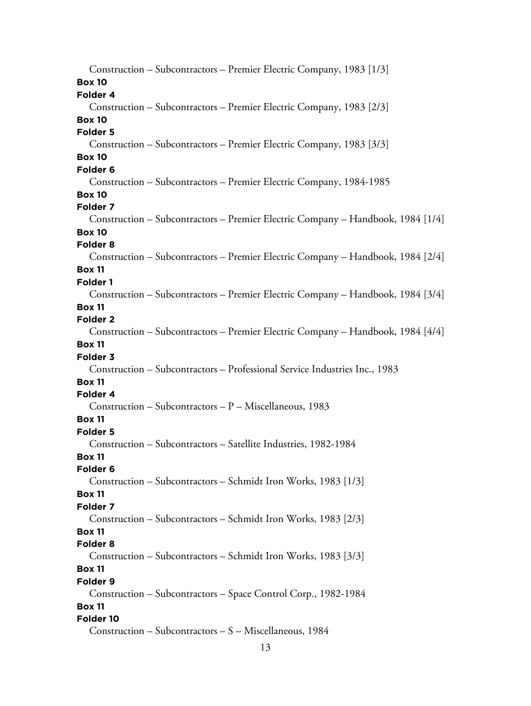Construction – Subcontractors – Premier Electric Company, 1983 [1/3] **Box 10 Folder 4** Construction – Subcontractors – Premier Electric Company, 1983 [2/3] **Box 10 Folder 5** Construction – Subcontractors – Premier Electric Company, 1983 [3/3] **Box 10 Folder 6** Construction – Subcontractors – Premier Electric Company, 1984-1985 **Box 10 Folder 7** Construction – Subcontractors – Premier Electric Company – Handbook, 1984 [1/4] **Box 10 Folder 8** Construction – Subcontractors – Premier Electric Company – Handbook, 1984 [2/4] **Box 11 Folder 1** Construction – Subcontractors – Premier Electric Company – Handbook, 1984 [3/4] **Box 11 Folder 2** Construction – Subcontractors – Premier Electric Company – Handbook, 1984 [4/4] **Box 11 Folder 3** Construction – Subcontractors – Professional Service Industries Inc., 1983 **Box 11 Folder 4** Construction – Subcontractors – P – Miscellaneous, 1983 **Box 11 Folder 5** Construction – Subcontractors – Satellite Industries, 1982-1984 **Box 11 Folder 6** Construction – Subcontractors – Schmidt Iron Works, 1983 [1/3] **Box 11 Folder 7** Construction – Subcontractors – Schmidt Iron Works, 1983 [2/3] **Box 11 Folder 8** Construction – Subcontractors – Schmidt Iron Works, 1983 [3/3] **Box 11 Folder 9** Construction – Subcontractors – Space Control Corp., 1982-1984 **Box 11 Folder 10** Construction – Subcontractors – S – Miscellaneous, 1984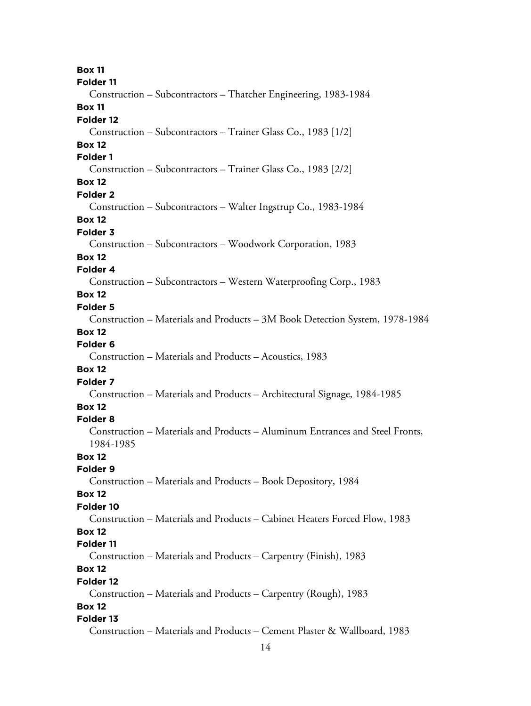14 **Box 11 Folder 11** Construction – Subcontractors – Thatcher Engineering, 1983-1984 **Box 11 Folder 12** Construction – Subcontractors – Trainer Glass Co., 1983 [1/2] **Box 12 Folder 1** Construction – Subcontractors – Trainer Glass Co., 1983 [2/2] **Box 12 Folder 2** Construction – Subcontractors – Walter Ingstrup Co., 1983-1984 **Box 12 Folder 3** Construction – Subcontractors – Woodwork Corporation, 1983 **Box 12 Folder 4** Construction – Subcontractors – Western Waterproofing Corp., 1983 **Box 12 Folder 5** Construction – Materials and Products – 3M Book Detection System, 1978-1984 **Box 12 Folder 6** Construction – Materials and Products – Acoustics, 1983 **Box 12 Folder 7** Construction – Materials and Products – Architectural Signage, 1984-1985 **Box 12 Folder 8** Construction – Materials and Products – Aluminum Entrances and Steel Fronts, 1984-1985 **Box 12 Folder 9** Construction – Materials and Products – Book Depository, 1984 **Box 12 Folder 10** Construction – Materials and Products – Cabinet Heaters Forced Flow, 1983 **Box 12 Folder 11** Construction – Materials and Products – Carpentry (Finish), 1983 **Box 12 Folder 12** Construction – Materials and Products – Carpentry (Rough), 1983 **Box 12 Folder 13** Construction – Materials and Products – Cement Plaster & Wallboard, 1983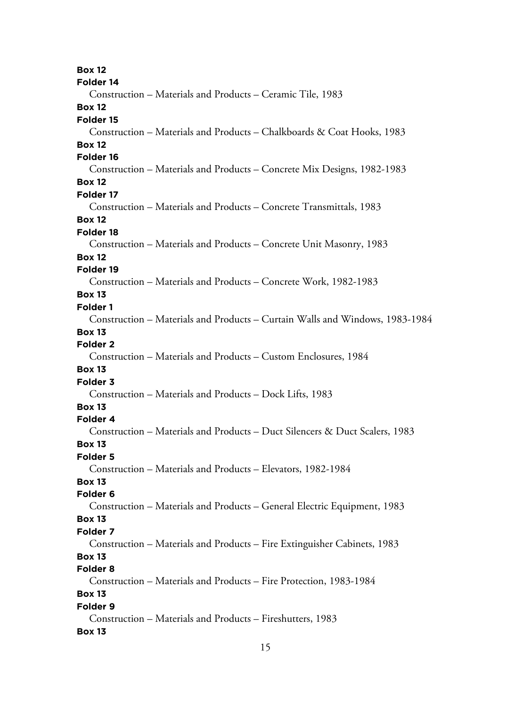**Box 12 Folder 14** Construction – Materials and Products – Ceramic Tile, 1983 **Box 12 Folder 15** Construction – Materials and Products – Chalkboards & Coat Hooks, 1983 **Box 12 Folder 16** Construction – Materials and Products – Concrete Mix Designs, 1982-1983 **Box 12 Folder 17** Construction – Materials and Products – Concrete Transmittals, 1983 **Box 12 Folder 18** Construction – Materials and Products – Concrete Unit Masonry, 1983 **Box 12 Folder 19** Construction – Materials and Products – Concrete Work, 1982-1983 **Box 13 Folder 1** Construction – Materials and Products – Curtain Walls and Windows, 1983-1984 **Box 13 Folder 2** Construction – Materials and Products – Custom Enclosures, 1984 **Box 13 Folder 3** Construction – Materials and Products – Dock Lifts, 1983 **Box 13 Folder 4** Construction – Materials and Products – Duct Silencers & Duct Scalers, 1983 **Box 13 Folder 5** Construction – Materials and Products – Elevators, 1982-1984 **Box 13 Folder 6** Construction – Materials and Products – General Electric Equipment, 1983 **Box 13 Folder 7** Construction – Materials and Products – Fire Extinguisher Cabinets, 1983 **Box 13 Folder 8** Construction – Materials and Products – Fire Protection, 1983-1984 **Box 13 Folder 9** Construction – Materials and Products – Fireshutters, 1983 **Box 13**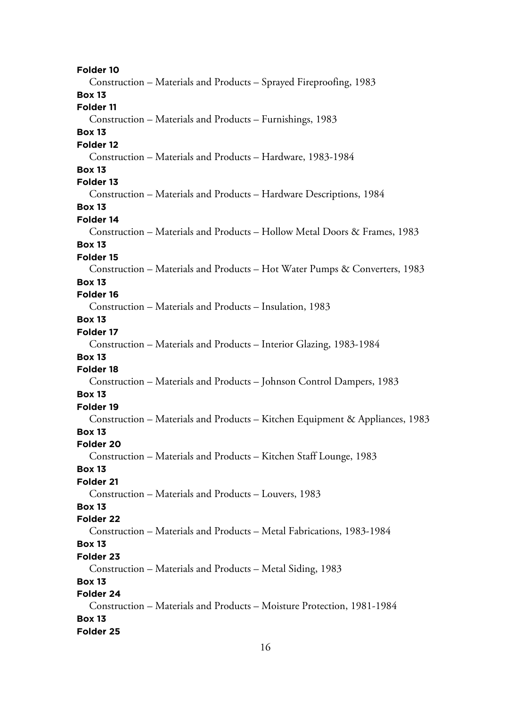**Folder 10** Construction – Materials and Products – Sprayed Fireproofing, 1983 **Box 13 Folder 11** Construction – Materials and Products – Furnishings, 1983 **Box 13 Folder 12** Construction – Materials and Products – Hardware, 1983-1984 **Box 13 Folder 13** Construction – Materials and Products – Hardware Descriptions, 1984 **Box 13 Folder 14** Construction – Materials and Products – Hollow Metal Doors & Frames, 1983 **Box 13 Folder 15** Construction – Materials and Products – Hot Water Pumps & Converters, 1983 **Box 13 Folder 16** Construction – Materials and Products – Insulation, 1983 **Box 13 Folder 17** Construction – Materials and Products – Interior Glazing, 1983-1984 **Box 13 Folder 18** Construction – Materials and Products – Johnson Control Dampers, 1983 **Box 13 Folder 19** Construction – Materials and Products – Kitchen Equipment & Appliances, 1983 **Box 13 Folder 20** Construction – Materials and Products – Kitchen Staff Lounge, 1983 **Box 13 Folder 21** Construction – Materials and Products – Louvers, 1983 **Box 13 Folder 22** Construction – Materials and Products – Metal Fabrications, 1983-1984 **Box 13 Folder 23** Construction – Materials and Products – Metal Siding, 1983 **Box 13 Folder 24** Construction – Materials and Products – Moisture Protection, 1981-1984 **Box 13 Folder 25**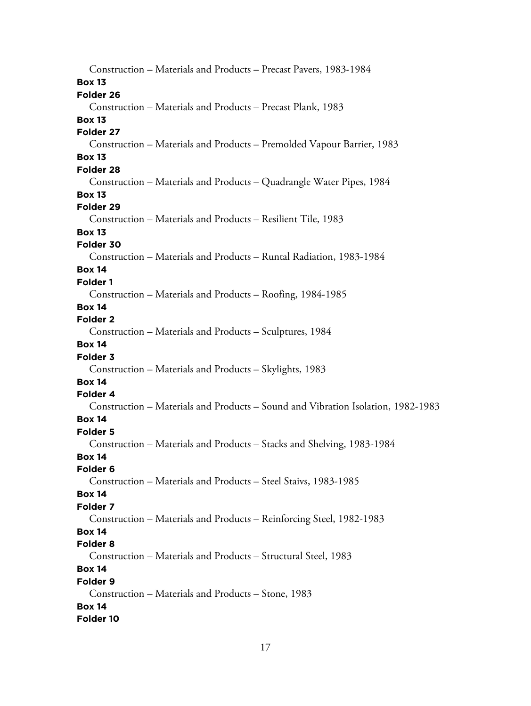Construction – Materials and Products – Precast Pavers, 1983-1984 **Box 13 Folder 26** Construction – Materials and Products – Precast Plank, 1983 **Box 13 Folder 27** Construction – Materials and Products – Premolded Vapour Barrier, 1983 **Box 13 Folder 28** Construction – Materials and Products – Quadrangle Water Pipes, 1984 **Box 13 Folder 29** Construction – Materials and Products – Resilient Tile, 1983 **Box 13 Folder 30** Construction – Materials and Products – Runtal Radiation, 1983-1984 **Box 14 Folder 1** Construction – Materials and Products – Roofing, 1984-1985 **Box 14 Folder 2** Construction – Materials and Products – Sculptures, 1984 **Box 14 Folder 3** Construction – Materials and Products – Skylights, 1983 **Box 14 Folder 4** Construction – Materials and Products – Sound and Vibration Isolation, 1982-1983 **Box 14 Folder 5** Construction – Materials and Products – Stacks and Shelving, 1983-1984 **Box 14 Folder 6** Construction – Materials and Products – Steel Staivs, 1983-1985 **Box 14 Folder 7** Construction – Materials and Products – Reinforcing Steel, 1982-1983 **Box 14 Folder 8** Construction – Materials and Products – Structural Steel, 1983 **Box 14 Folder 9** Construction – Materials and Products – Stone, 1983 **Box 14 Folder 10**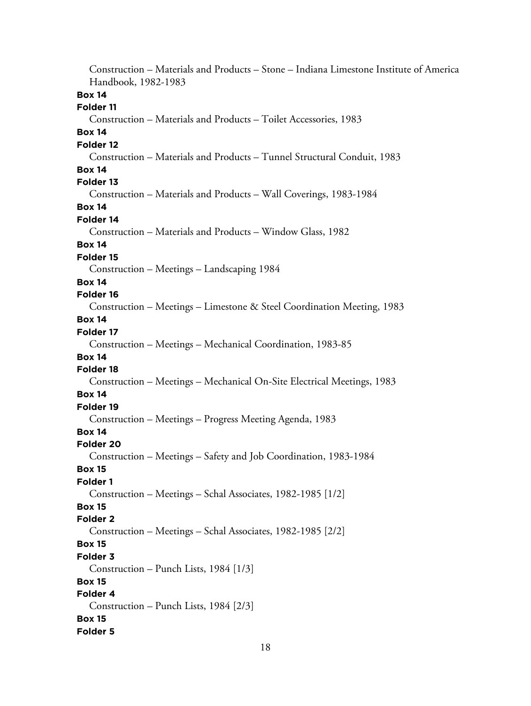Construction – Materials and Products – Stone – Indiana Limestone Institute of America Handbook, 1982-1983 **Box 14 Folder 11** Construction – Materials and Products – Toilet Accessories, 1983 **Box 14 Folder 12** Construction – Materials and Products – Tunnel Structural Conduit, 1983 **Box 14 Folder 13** Construction – Materials and Products – Wall Coverings, 1983-1984 **Box 14 Folder 14** Construction – Materials and Products – Window Glass, 1982 **Box 14 Folder 15** Construction – Meetings – Landscaping 1984 **Box 14 Folder 16** Construction – Meetings – Limestone & Steel Coordination Meeting, 1983 **Box 14 Folder 17** Construction – Meetings – Mechanical Coordination, 1983-85 **Box 14 Folder 18** Construction – Meetings – Mechanical On-Site Electrical Meetings, 1983 **Box 14 Folder 19** Construction – Meetings – Progress Meeting Agenda, 1983 **Box 14 Folder 20** Construction – Meetings – Safety and Job Coordination, 1983-1984 **Box 15 Folder 1** Construction – Meetings – Schal Associates, 1982-1985 [1/2] **Box 15 Folder 2** Construction – Meetings – Schal Associates, 1982-1985 [2/2] **Box 15 Folder 3** Construction – Punch Lists, 1984 [1/3] **Box 15 Folder 4** Construction – Punch Lists, 1984 [2/3] **Box 15 Folder 5**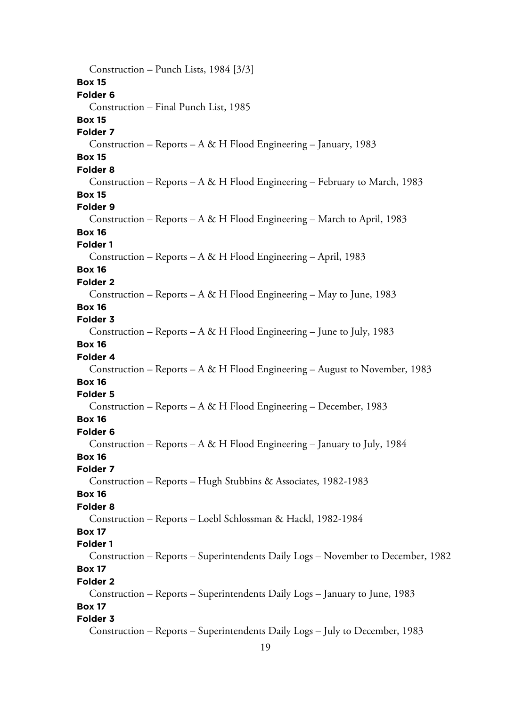Construction – Punch Lists, 1984 [3/3] **Box 15 Folder 6** Construction – Final Punch List, 1985 **Box 15 Folder 7** Construction – Reports – A & H Flood Engineering – January, 1983 **Box 15 Folder 8** Construction – Reports – A & H Flood Engineering – February to March, 1983 **Box 15 Folder 9** Construction – Reports – A & H Flood Engineering – March to April, 1983 **Box 16 Folder 1** Construction – Reports – A & H Flood Engineering – April, 1983 **Box 16 Folder 2** Construction – Reports – A & H Flood Engineering – May to June, 1983 **Box 16 Folder 3** Construction – Reports – A & H Flood Engineering – June to July, 1983 **Box 16 Folder 4** Construction – Reports – A & H Flood Engineering – August to November, 1983 **Box 16 Folder 5** Construction – Reports – A & H Flood Engineering – December, 1983 **Box 16 Folder 6** Construction – Reports – A & H Flood Engineering – January to July, 1984 **Box 16 Folder 7** Construction – Reports – Hugh Stubbins & Associates, 1982-1983 **Box 16 Folder 8** Construction – Reports – Loebl Schlossman & Hackl, 1982-1984 **Box 17 Folder 1** Construction – Reports – Superintendents Daily Logs – November to December, 1982 **Box 17 Folder 2** Construction – Reports – Superintendents Daily Logs – January to June, 1983 **Box 17 Folder 3** Construction – Reports – Superintendents Daily Logs – July to December, 1983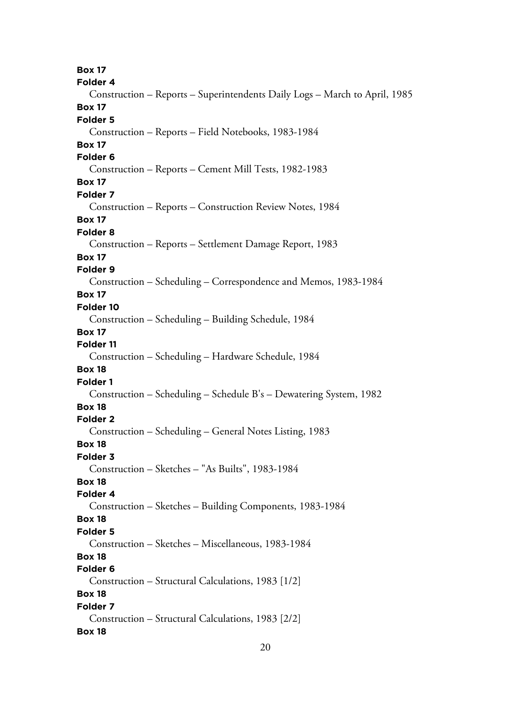**Box 17 Folder 4** Construction – Reports – Superintendents Daily Logs – March to April, 1985 **Box 17 Folder 5** Construction – Reports – Field Notebooks, 1983-1984 **Box 17 Folder 6** Construction – Reports – Cement Mill Tests, 1982-1983 **Box 17 Folder 7** Construction – Reports – Construction Review Notes, 1984 **Box 17 Folder 8** Construction – Reports – Settlement Damage Report, 1983 **Box 17 Folder 9** Construction – Scheduling – Correspondence and Memos, 1983-1984 **Box 17 Folder 10** Construction – Scheduling – Building Schedule, 1984 **Box 17 Folder 11** Construction – Scheduling – Hardware Schedule, 1984 **Box 18 Folder 1** Construction – Scheduling – Schedule B's – Dewatering System, 1982 **Box 18 Folder 2** Construction – Scheduling – General Notes Listing, 1983 **Box 18 Folder 3** Construction – Sketches – "As Builts", 1983-1984 **Box 18 Folder 4** Construction – Sketches – Building Components, 1983-1984 **Box 18 Folder 5** Construction – Sketches – Miscellaneous, 1983-1984 **Box 18 Folder 6** Construction – Structural Calculations, 1983 [1/2] **Box 18 Folder 7** Construction – Structural Calculations, 1983 [2/2] **Box 18**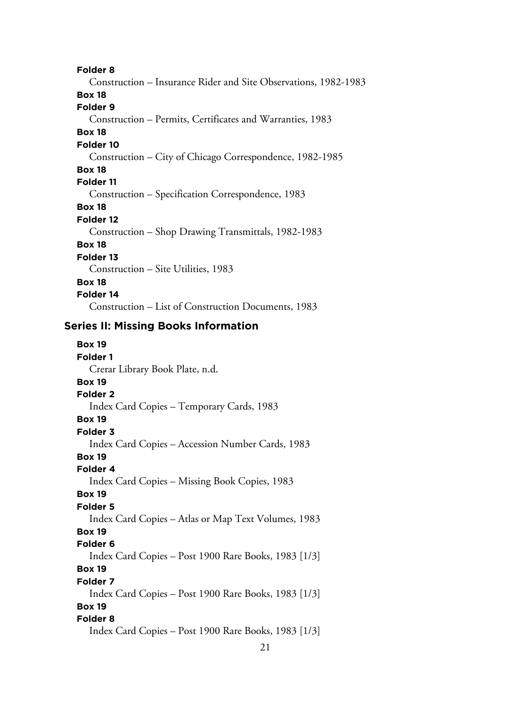**Folder 8**

Construction – Insurance Rider and Site Observations, 1982-1983 **Box 18 Folder 9** Construction – Permits, Certificates and Warranties, 1983 **Box 18 Folder 10** Construction – City of Chicago Correspondence, 1982-1985 **Box 18 Folder 11** Construction – Specification Correspondence, 1983 **Box 18 Folder 12** Construction – Shop Drawing Transmittals, 1982-1983 **Box 18 Folder 13** Construction – Site Utilities, 1983 **Box 18 Folder 14** Construction – List of Construction Documents, 1983

## **Series II: Missing Books Information**

| <b>Box 19</b>                                        |
|------------------------------------------------------|
| <b>Folder 1</b>                                      |
| Crerar Library Book Plate, n.d.                      |
| <b>Box 19</b>                                        |
| Folder <sub>2</sub>                                  |
| Index Card Copies – Temporary Cards, 1983            |
| <b>Box 19</b>                                        |
| Folder 3                                             |
| Index Card Copies – Accession Number Cards, 1983     |
| <b>Box 19</b>                                        |
| Folder 4                                             |
| Index Card Copies – Missing Book Copies, 1983        |
| <b>Box 19</b>                                        |
| <b>Folder 5</b>                                      |
| Index Card Copies – Atlas or Map Text Volumes, 1983  |
| <b>Box 19</b>                                        |
| Folder <sub>6</sub>                                  |
| Index Card Copies – Post 1900 Rare Books, 1983 [1/3] |
| <b>Box 19</b>                                        |
| Folder 7                                             |
| Index Card Copies - Post 1900 Rare Books, 1983 [1/3] |
| <b>Box 19</b>                                        |
| Folder 8                                             |
| Index Card Copies – Post 1900 Rare Books, 1983 [1/3] |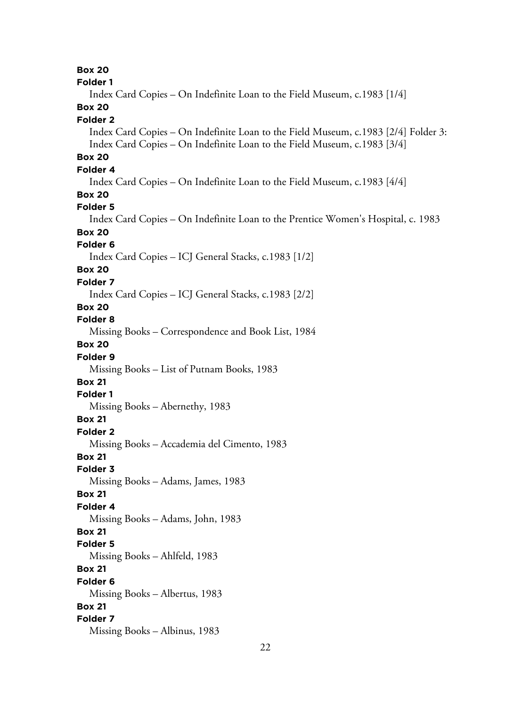**Box 20 Folder 1** Index Card Copies – On Indefinite Loan to the Field Museum, c.1983 [1/4] **Box 20 Folder 2** Index Card Copies – On Indefinite Loan to the Field Museum, c.1983 [2/4] Folder 3: Index Card Copies – On Indefinite Loan to the Field Museum, c.1983 [3/4] **Box 20 Folder 4** Index Card Copies – On Indefinite Loan to the Field Museum, c.1983 [4/4] **Box 20 Folder 5** Index Card Copies – On Indefinite Loan to the Prentice Women's Hospital, c. 1983 **Box 20 Folder 6** Index Card Copies – ICJ General Stacks, c.1983 [1/2] **Box 20 Folder 7** Index Card Copies – ICJ General Stacks, c.1983 [2/2] **Box 20 Folder 8** Missing Books – Correspondence and Book List, 1984 **Box 20 Folder 9** Missing Books – List of Putnam Books, 1983 **Box 21 Folder 1** Missing Books – Abernethy, 1983 **Box 21 Folder 2** Missing Books – Accademia del Cimento, 1983 **Box 21 Folder 3** Missing Books – Adams, James, 1983 **Box 21 Folder 4** Missing Books – Adams, John, 1983 **Box 21 Folder 5** Missing Books – Ahlfeld, 1983 **Box 21 Folder 6** Missing Books – Albertus, 1983 **Box 21 Folder 7** Missing Books – Albinus, 1983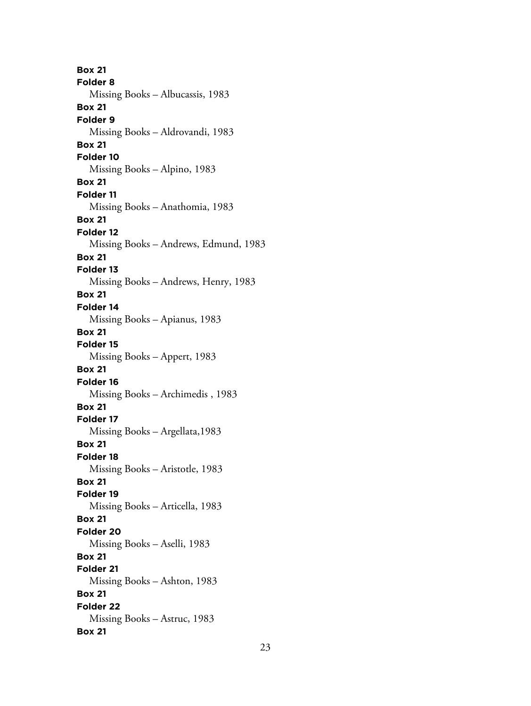**Box 21 Folder 8** Missing Books – Albucassis, 1983 **Box 21 Folder 9** Missing Books – Aldrovandi, 1983 **Box 21 Folder 10** Missing Books – Alpino, 1983 **Box 21 Folder 11** Missing Books – Anathomia, 1983 **Box 21 Folder 12** Missing Books – Andrews, Edmund, 1983 **Box 21 Folder 13** Missing Books – Andrews, Henry, 1983 **Box 21 Folder 14** Missing Books – Apianus, 1983 **Box 21 Folder 15** Missing Books – Appert, 1983 **Box 21 Folder 16** Missing Books – Archimedis , 1983 **Box 21 Folder 17** Missing Books – Argellata,1983 **Box 21 Folder 18** Missing Books – Aristotle, 1983 **Box 21 Folder 19** Missing Books – Articella, 1983 **Box 21 Folder 20** Missing Books – Aselli, 1983 **Box 21 Folder 21** Missing Books – Ashton, 1983 **Box 21 Folder 22** Missing Books – Astruc, 1983 **Box 21**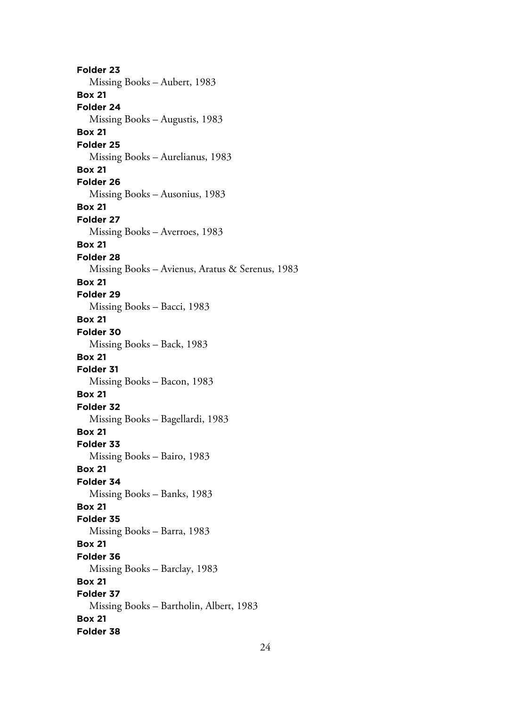**Folder 23** Missing Books – Aubert, 1983 **Box 21 Folder 24** Missing Books – Augustis, 1983 **Box 21 Folder 25** Missing Books – Aurelianus, 1983 **Box 21 Folder 26** Missing Books – Ausonius, 1983 **Box 21 Folder 27** Missing Books – Averroes, 1983 **Box 21 Folder 28** Missing Books – Avienus, Aratus & Serenus, 1983 **Box 21 Folder 29** Missing Books – Bacci, 1983 **Box 21 Folder 30** Missing Books – Back, 1983 **Box 21 Folder 31** Missing Books – Bacon, 1983 **Box 21 Folder 32** Missing Books – Bagellardi, 1983 **Box 21 Folder 33** Missing Books – Bairo, 1983 **Box 21 Folder 34** Missing Books – Banks, 1983 **Box 21 Folder 35** Missing Books – Barra, 1983 **Box 21 Folder 36** Missing Books – Barclay, 1983 **Box 21 Folder 37** Missing Books – Bartholin, Albert, 1983 **Box 21 Folder 38**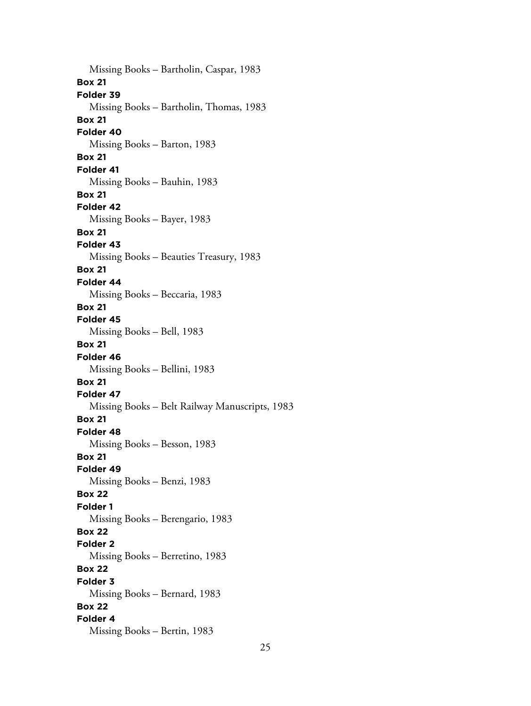Missing Books – Bartholin, Caspar, 1983 **Box 21 Folder 39** Missing Books – Bartholin, Thomas, 1983 **Box 21 Folder 40** Missing Books – Barton, 1983 **Box 21 Folder 41** Missing Books – Bauhin, 1983 **Box 21 Folder 42** Missing Books – Bayer, 1983 **Box 21 Folder 43** Missing Books – Beauties Treasury, 1983 **Box 21 Folder 44** Missing Books – Beccaria, 1983 **Box 21 Folder 45** Missing Books – Bell, 1983 **Box 21 Folder 46** Missing Books – Bellini, 1983 **Box 21 Folder 47** Missing Books – Belt Railway Manuscripts, 1983 **Box 21 Folder 48** Missing Books – Besson, 1983 **Box 21 Folder 49** Missing Books – Benzi, 1983 **Box 22 Folder 1** Missing Books – Berengario, 1983 **Box 22 Folder 2** Missing Books – Berretino, 1983 **Box 22 Folder 3** Missing Books – Bernard, 1983 **Box 22 Folder 4** Missing Books – Bertin, 1983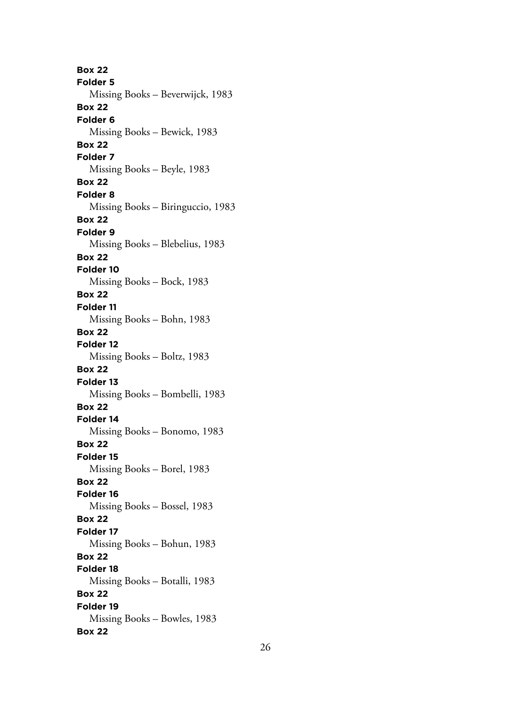**Box 22 Folder 5** Missing Books – Beverwijck, 1983 **Box 22 Folder 6** Missing Books – Bewick, 1983 **Box 22 Folder 7** Missing Books – Beyle, 1983 **Box 22 Folder 8** Missing Books – Biringuccio, 1983 **Box 22 Folder 9** Missing Books – Blebelius, 1983 **Box 22 Folder 10** Missing Books – Bock, 1983 **Box 22 Folder 11** Missing Books – Bohn, 1983 **Box 22 Folder 12** Missing Books – Boltz, 1983 **Box 22 Folder 13** Missing Books – Bombelli, 1983 **Box 22 Folder 14** Missing Books – Bonomo, 1983 **Box 22 Folder 15** Missing Books – Borel, 1983 **Box 22 Folder 16** Missing Books – Bossel, 1983 **Box 22 Folder 17** Missing Books – Bohun, 1983 **Box 22 Folder 18** Missing Books – Botalli, 1983 **Box 22 Folder 19** Missing Books – Bowles, 1983 **Box 22**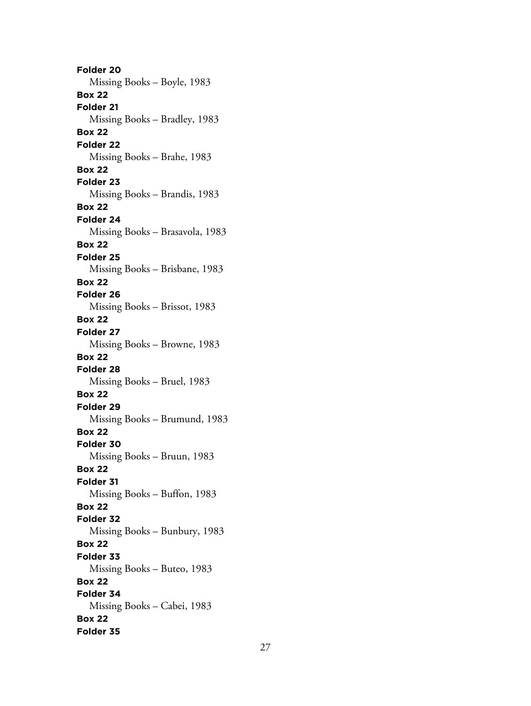**Folder 20** Missing Books – Boyle, 1983 **Box 22 Folder 21** Missing Books – Bradley, 1983 **Box 22 Folder 22** Missing Books – Brahe, 1983 **Box 22 Folder 23** Missing Books – Brandis, 1983 **Box 22 Folder 24** Missing Books – Brasavola, 1983 **Box 22 Folder 25** Missing Books – Brisbane, 1983 **Box 22 Folder 26** Missing Books – Brissot, 1983 **Box 22 Folder 27** Missing Books – Browne, 1983 **Box 22 Folder 28** Missing Books – Bruel, 1983 **Box 22 Folder 29** Missing Books – Brumund, 1983 **Box 22 Folder 30** Missing Books – Bruun, 1983 **Box 22 Folder 31** Missing Books – Buffon, 1983 **Box 22 Folder 32** Missing Books – Bunbury, 1983 **Box 22 Folder 33** Missing Books – Buteo, 1983 **Box 22 Folder 34** Missing Books – Cabei, 1983 **Box 22 Folder 35**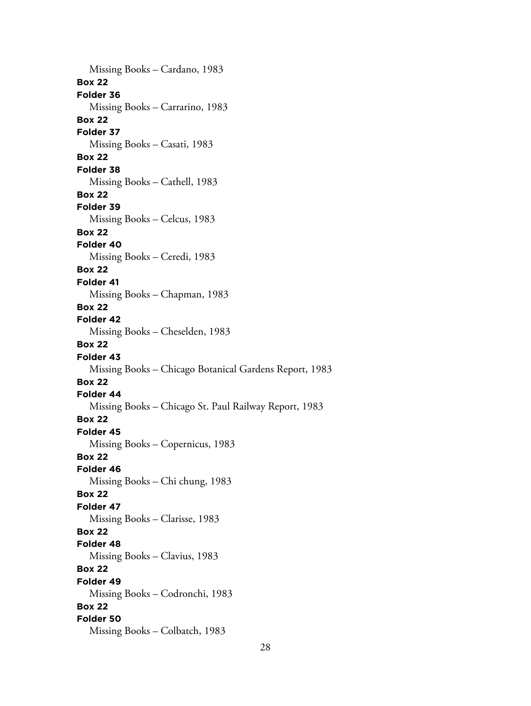Missing Books – Cardano, 1983 **Box 22 Folder 36** Missing Books – Carrarino, 1983 **Box 22 Folder 37** Missing Books – Casati, 1983 **Box 22 Folder 38** Missing Books – Cathell, 1983 **Box 22 Folder 39** Missing Books – Celcus, 1983 **Box 22 Folder 40** Missing Books – Ceredi, 1983 **Box 22 Folder 41** Missing Books – Chapman, 1983 **Box 22 Folder 42** Missing Books – Cheselden, 1983 **Box 22 Folder 43** Missing Books – Chicago Botanical Gardens Report, 1983 **Box 22 Folder 44** Missing Books – Chicago St. Paul Railway Report, 1983 **Box 22 Folder 45** Missing Books – Copernicus, 1983 **Box 22 Folder 46** Missing Books – Chi chung, 1983 **Box 22 Folder 47** Missing Books – Clarisse, 1983 **Box 22 Folder 48** Missing Books – Clavius, 1983 **Box 22 Folder 49** Missing Books – Codronchi, 1983 **Box 22 Folder 50** Missing Books – Colbatch, 1983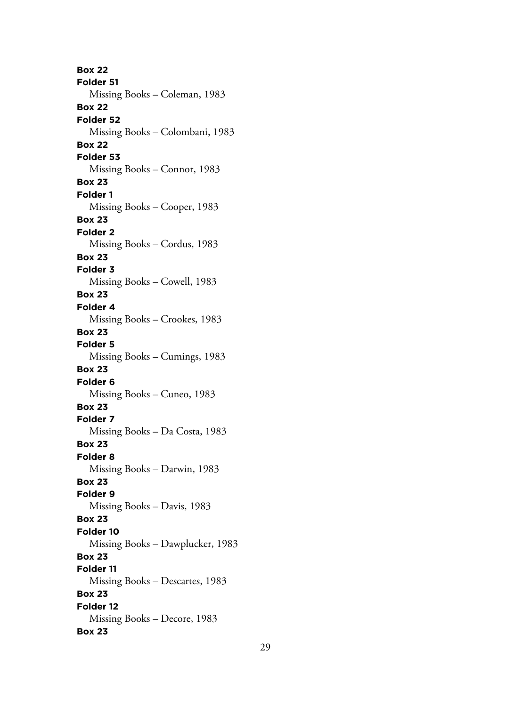**Box 22 Folder 51** Missing Books – Coleman, 1983 **Box 22 Folder 52** Missing Books – Colombani, 1983 **Box 22 Folder 53** Missing Books – Connor, 1983 **Box 23 Folder 1** Missing Books – Cooper, 1983 **Box 23 Folder 2** Missing Books – Cordus, 1983 **Box 23 Folder 3** Missing Books – Cowell, 1983 **Box 23 Folder 4** Missing Books – Crookes, 1983 **Box 23 Folder 5** Missing Books – Cumings, 1983 **Box 23 Folder 6** Missing Books – Cuneo, 1983 **Box 23 Folder 7** Missing Books – Da Costa, 1983 **Box 23 Folder 8** Missing Books – Darwin, 1983 **Box 23 Folder 9** Missing Books – Davis, 1983 **Box 23 Folder 10** Missing Books – Dawplucker, 1983 **Box 23 Folder 11** Missing Books – Descartes, 1983 **Box 23 Folder 12** Missing Books – Decore, 1983 **Box 23**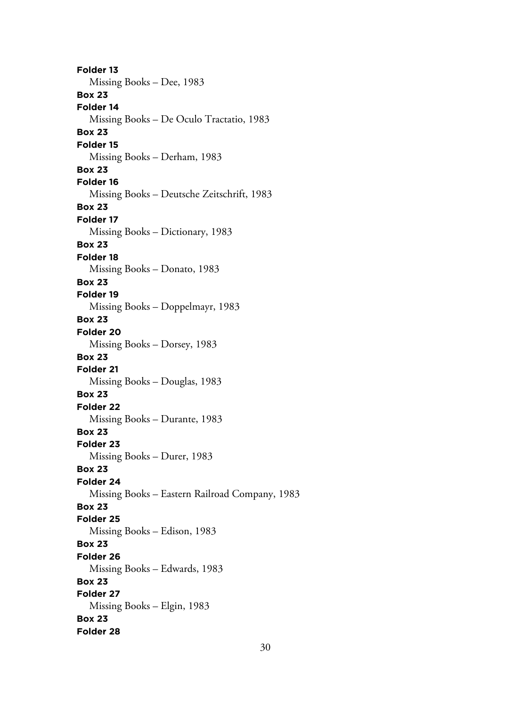**Folder 13** Missing Books – Dee, 1983 **Box 23 Folder 14** Missing Books – De Oculo Tractatio, 1983 **Box 23 Folder 15** Missing Books – Derham, 1983 **Box 23 Folder 16** Missing Books – Deutsche Zeitschrift, 1983 **Box 23 Folder 17** Missing Books – Dictionary, 1983 **Box 23 Folder 18** Missing Books – Donato, 1983 **Box 23 Folder 19** Missing Books – Doppelmayr, 1983 **Box 23 Folder 20** Missing Books – Dorsey, 1983 **Box 23 Folder 21** Missing Books – Douglas, 1983 **Box 23 Folder 22** Missing Books – Durante, 1983 **Box 23 Folder 23** Missing Books – Durer, 1983 **Box 23 Folder 24** Missing Books – Eastern Railroad Company, 1983 **Box 23 Folder 25** Missing Books – Edison, 1983 **Box 23 Folder 26** Missing Books – Edwards, 1983 **Box 23 Folder 27** Missing Books – Elgin, 1983 **Box 23 Folder 28**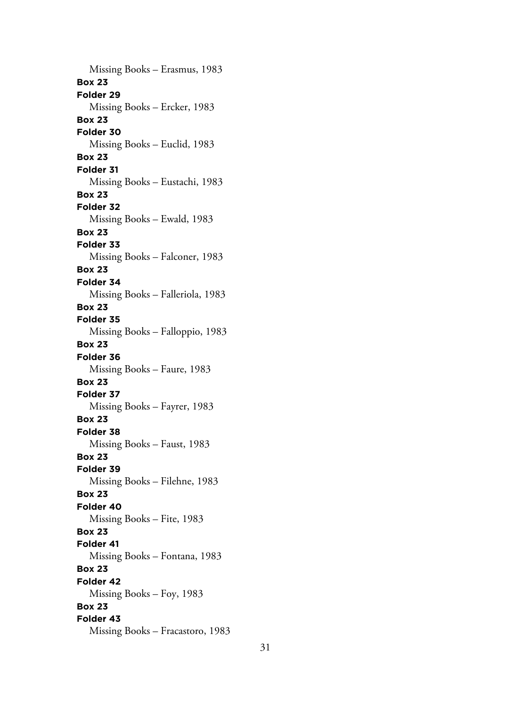Missing Books – Erasmus, 1983 **Box 23 Folder 29** Missing Books – Ercker, 1983 **Box 23 Folder 30** Missing Books – Euclid, 1983 **Box 23 Folder 31** Missing Books – Eustachi, 1983 **Box 23 Folder 32** Missing Books – Ewald, 1983 **Box 23 Folder 33** Missing Books – Falconer, 1983 **Box 23 Folder 34** Missing Books – Falleriola, 1983 **Box 23 Folder 35** Missing Books – Falloppio, 1983 **Box 23 Folder 36** Missing Books – Faure, 1983 **Box 23 Folder 37** Missing Books – Fayrer, 1983 **Box 23 Folder 38** Missing Books – Faust, 1983 **Box 23 Folder 39** Missing Books – Filehne, 1983 **Box 23 Folder 40** Missing Books – Fite, 1983 **Box 23 Folder 41** Missing Books – Fontana, 1983 **Box 23 Folder 42** Missing Books – Foy, 1983 **Box 23 Folder 43** Missing Books – Fracastoro, 1983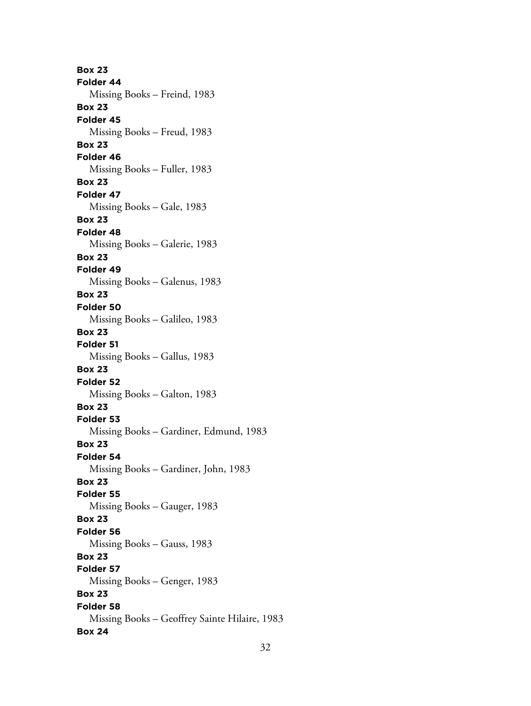**Box 23 Folder 44** Missing Books – Freind, 1983 **Box 23 Folder 45** Missing Books – Freud, 1983 **Box 23 Folder 46** Missing Books – Fuller, 1983 **Box 23 Folder 47** Missing Books – Gale, 1983 **Box 23 Folder 48** Missing Books – Galerie, 1983 **Box 23 Folder 49** Missing Books – Galenus, 1983 **Box 23 Folder 50** Missing Books – Galileo, 1983 **Box 23 Folder 51** Missing Books – Gallus, 1983 **Box 23 Folder 52** Missing Books – Galton, 1983 **Box 23 Folder 53** Missing Books – Gardiner, Edmund, 1983 **Box 23 Folder 54** Missing Books – Gardiner, John, 1983 **Box 23 Folder 55** Missing Books – Gauger, 1983 **Box 23 Folder 56** Missing Books – Gauss, 1983 **Box 23 Folder 57** Missing Books – Genger, 1983 **Box 23 Folder 58** Missing Books – Geoffrey Sainte Hilaire, 1983 **Box 24**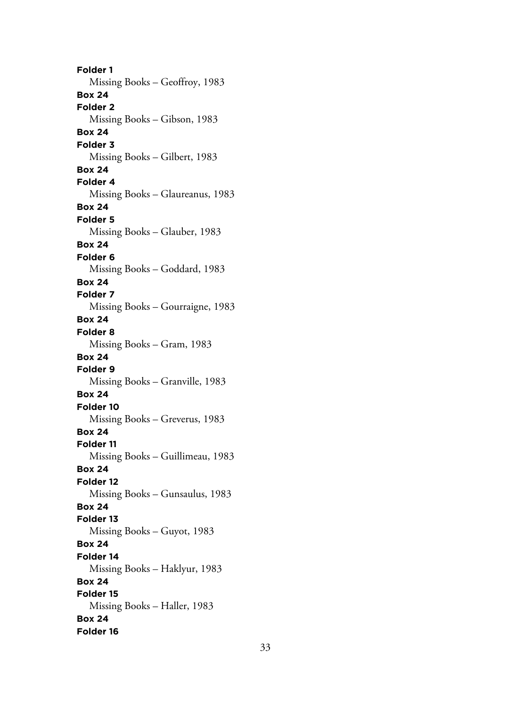**Folder 1** Missing Books – Geoffroy, 1983 **Box 24 Folder 2** Missing Books – Gibson, 1983 **Box 24 Folder 3** Missing Books – Gilbert, 1983 **Box 24 Folder 4** Missing Books – Glaureanus, 1983 **Box 24 Folder 5** Missing Books – Glauber, 1983 **Box 24 Folder 6** Missing Books – Goddard, 1983 **Box 24 Folder 7** Missing Books – Gourraigne, 1983 **Box 24 Folder 8** Missing Books – Gram, 1983 **Box 24 Folder 9** Missing Books – Granville, 1983 **Box 24 Folder 10** Missing Books – Greverus, 1983 **Box 24 Folder 11** Missing Books – Guillimeau, 1983 **Box 24 Folder 12** Missing Books – Gunsaulus, 1983 **Box 24 Folder 13** Missing Books – Guyot, 1983 **Box 24 Folder 14** Missing Books – Haklyur, 1983 **Box 24 Folder 15** Missing Books – Haller, 1983 **Box 24 Folder 16**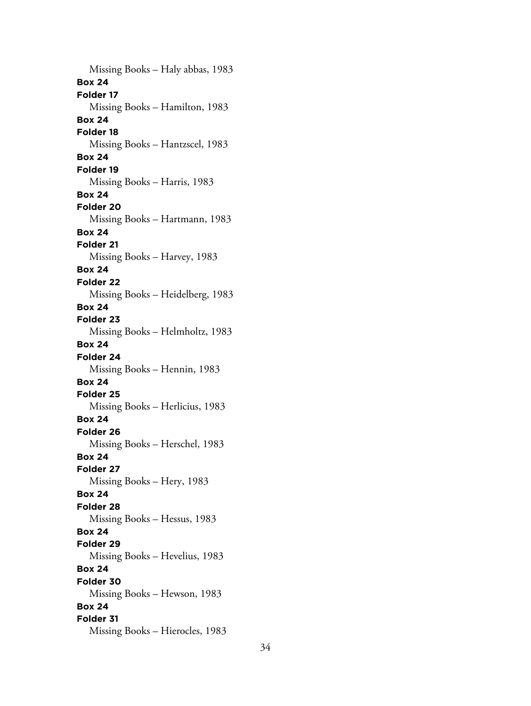Missing Books – Haly abbas, 1983 **Box 24 Folder 17** Missing Books – Hamilton, 1983 **Box 24 Folder 18** Missing Books – Hantzscel, 1983 **Box 24 Folder 19** Missing Books – Harris, 1983 **Box 24 Folder 20** Missing Books – Hartmann, 1983 **Box 24 Folder 21** Missing Books – Harvey, 1983 **Box 24 Folder 22** Missing Books – Heidelberg, 1983 **Box 24 Folder 23** Missing Books – Helmholtz, 1983 **Box 24 Folder 24** Missing Books – Hennin, 1983 **Box 24 Folder 25** Missing Books – Herlicius, 1983 **Box 24 Folder 26** Missing Books – Herschel, 1983 **Box 24 Folder 27** Missing Books – Hery, 1983 **Box 24 Folder 28** Missing Books – Hessus, 1983 **Box 24 Folder 29** Missing Books – Hevelius, 1983 **Box 24 Folder 30** Missing Books – Hewson, 1983 **Box 24 Folder 31** Missing Books – Hierocles, 1983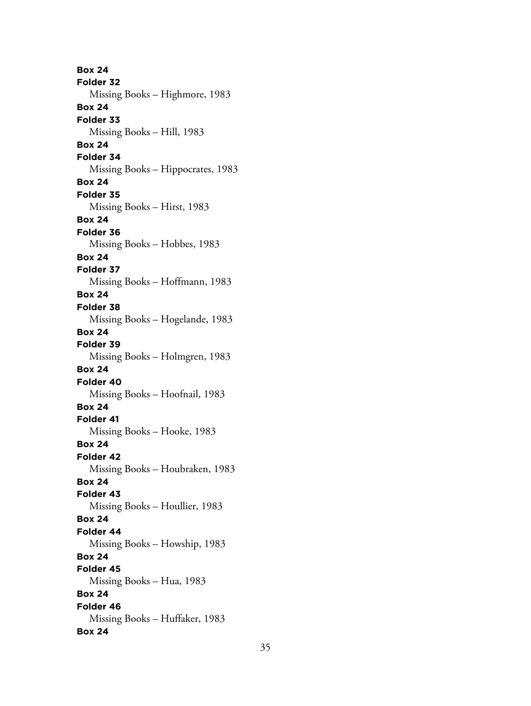**Box 24 Folder 32** Missing Books – Highmore, 1983 **Box 24 Folder 33** Missing Books – Hill, 1983 **Box 24 Folder 34** Missing Books – Hippocrates, 1983 **Box 24 Folder 35** Missing Books – Hirst, 1983 **Box 24 Folder 36** Missing Books – Hobbes, 1983 **Box 24 Folder 37** Missing Books – Hoffmann, 1983 **Box 24 Folder 38** Missing Books – Hogelande, 1983 **Box 24 Folder 39** Missing Books – Holmgren, 1983 **Box 24 Folder 40** Missing Books – Hoofnail, 1983 **Box 24 Folder 41** Missing Books – Hooke, 1983 **Box 24 Folder 42** Missing Books – Houbraken, 1983 **Box 24 Folder 43** Missing Books – Houllier, 1983 **Box 24 Folder 44** Missing Books – Howship, 1983 **Box 24 Folder 45** Missing Books – Hua, 1983 **Box 24 Folder 46** Missing Books – Huffaker, 1983 **Box 24**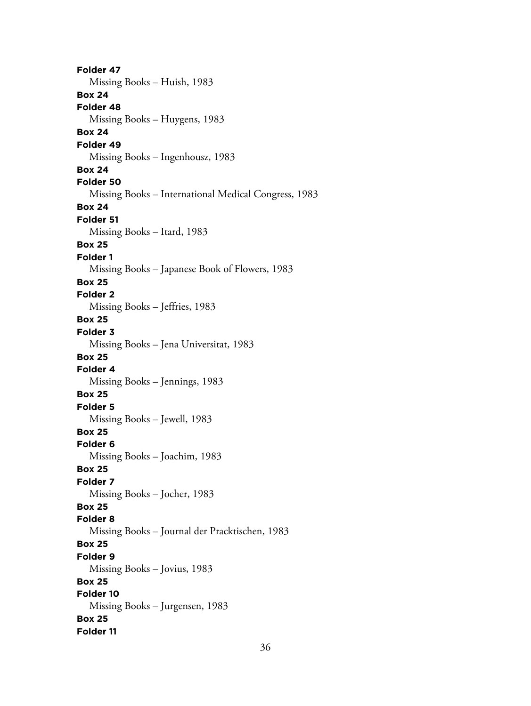**Folder 47** Missing Books – Huish, 1983 **Box 24 Folder 48** Missing Books – Huygens, 1983 **Box 24 Folder 49** Missing Books – Ingenhousz, 1983 **Box 24 Folder 50** Missing Books – International Medical Congress, 1983 **Box 24 Folder 51** Missing Books – Itard, 1983 **Box 25 Folder 1** Missing Books – Japanese Book of Flowers, 1983 **Box 25 Folder 2** Missing Books – Jeffries, 1983 **Box 25 Folder 3** Missing Books – Jena Universitat, 1983 **Box 25 Folder 4** Missing Books – Jennings, 1983 **Box 25 Folder 5** Missing Books – Jewell, 1983 **Box 25 Folder 6** Missing Books – Joachim, 1983 **Box 25 Folder 7** Missing Books – Jocher, 1983 **Box 25 Folder 8** Missing Books – Journal der Pracktischen, 1983 **Box 25 Folder 9** Missing Books – Jovius, 1983 **Box 25 Folder 10** Missing Books – Jurgensen, 1983 **Box 25 Folder 11**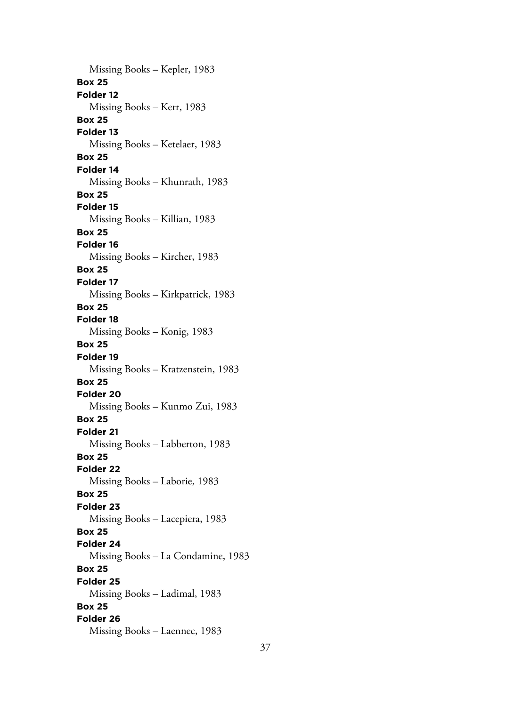Missing Books – Kepler, 1983 **Box 25 Folder 12** Missing Books – Kerr, 1983 **Box 25 Folder 13** Missing Books – Ketelaer, 1983 **Box 25 Folder 14** Missing Books – Khunrath, 1983 **Box 25 Folder 15** Missing Books – Killian, 1983 **Box 25 Folder 16** Missing Books – Kircher, 1983 **Box 25 Folder 17** Missing Books – Kirkpatrick, 1983 **Box 25 Folder 18** Missing Books – Konig, 1983 **Box 25 Folder 19** Missing Books – Kratzenstein, 1983 **Box 25 Folder 20** Missing Books – Kunmo Zui, 1983 **Box 25 Folder 21** Missing Books – Labberton, 1983 **Box 25 Folder 22** Missing Books – Laborie, 1983 **Box 25 Folder 23** Missing Books – Lacepiera, 1983 **Box 25 Folder 24** Missing Books – La Condamine, 1983 **Box 25 Folder 25** Missing Books – Ladimal, 1983 **Box 25 Folder 26** Missing Books – Laennec, 1983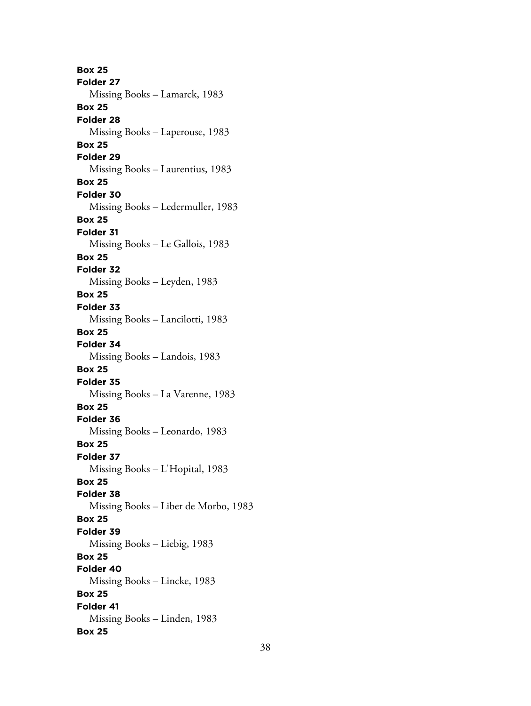**Box 25 Folder 27** Missing Books – Lamarck, 1983 **Box 25 Folder 28** Missing Books – Laperouse, 1983 **Box 25 Folder 29** Missing Books – Laurentius, 1983 **Box 25 Folder 30** Missing Books – Ledermuller, 1983 **Box 25 Folder 31** Missing Books – Le Gallois, 1983 **Box 25 Folder 32** Missing Books – Leyden, 1983 **Box 25 Folder 33** Missing Books – Lancilotti, 1983 **Box 25 Folder 34** Missing Books – Landois, 1983 **Box 25 Folder 35** Missing Books – La Varenne, 1983 **Box 25 Folder 36** Missing Books – Leonardo, 1983 **Box 25 Folder 37** Missing Books – L'Hopital, 1983 **Box 25 Folder 38** Missing Books – Liber de Morbo, 1983 **Box 25 Folder 39** Missing Books – Liebig, 1983 **Box 25 Folder 40** Missing Books – Lincke, 1983 **Box 25 Folder 41** Missing Books – Linden, 1983 **Box 25**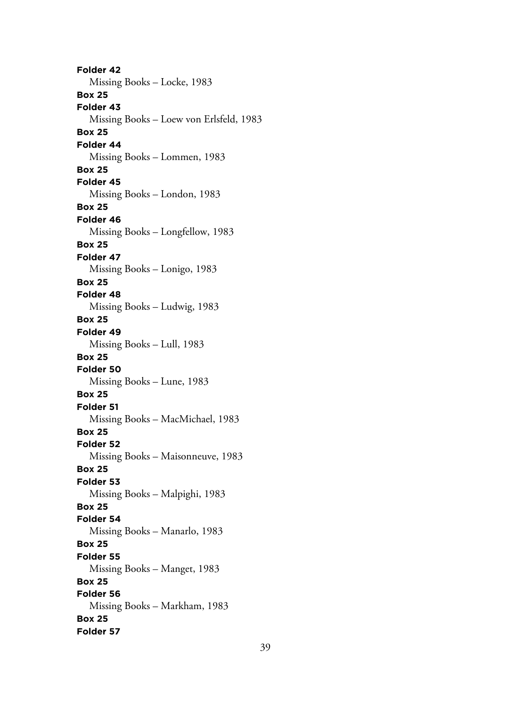**Folder 42** Missing Books – Locke, 1983 **Box 25 Folder 43** Missing Books – Loew von Erlsfeld, 1983 **Box 25 Folder 44** Missing Books – Lommen, 1983 **Box 25 Folder 45** Missing Books – London, 1983 **Box 25 Folder 46** Missing Books – Longfellow, 1983 **Box 25 Folder 47** Missing Books – Lonigo, 1983 **Box 25 Folder 48** Missing Books – Ludwig, 1983 **Box 25 Folder 49** Missing Books – Lull, 1983 **Box 25 Folder 50** Missing Books – Lune, 1983 **Box 25 Folder 51** Missing Books – MacMichael, 1983 **Box 25 Folder 52** Missing Books – Maisonneuve, 1983 **Box 25 Folder 53** Missing Books – Malpighi, 1983 **Box 25 Folder 54** Missing Books – Manarlo, 1983 **Box 25 Folder 55** Missing Books – Manget, 1983 **Box 25 Folder 56** Missing Books – Markham, 1983 **Box 25 Folder 57**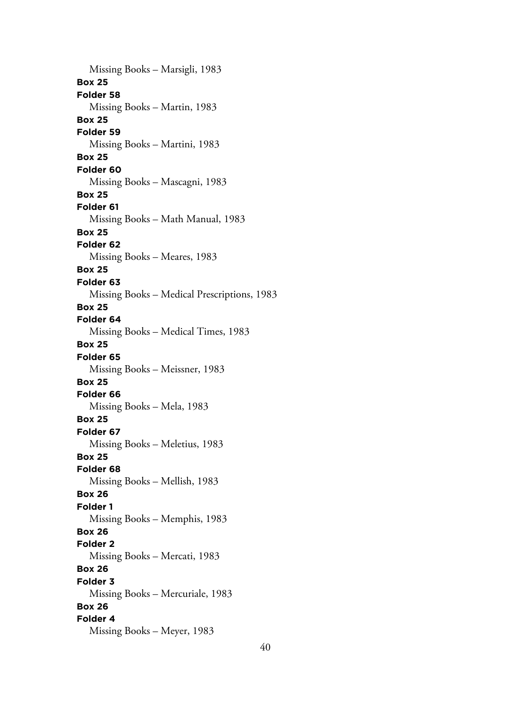Missing Books – Marsigli, 1983 **Box 25 Folder 58** Missing Books – Martin, 1983 **Box 25 Folder 59** Missing Books – Martini, 1983 **Box 25 Folder 60** Missing Books – Mascagni, 1983 **Box 25 Folder 61** Missing Books – Math Manual, 1983 **Box 25 Folder 62** Missing Books – Meares, 1983 **Box 25 Folder 63** Missing Books – Medical Prescriptions, 1983 **Box 25 Folder 64** Missing Books – Medical Times, 1983 **Box 25 Folder 65** Missing Books – Meissner, 1983 **Box 25 Folder 66** Missing Books – Mela, 1983 **Box 25 Folder 67** Missing Books – Meletius, 1983 **Box 25 Folder 68** Missing Books – Mellish, 1983 **Box 26 Folder 1** Missing Books – Memphis, 1983 **Box 26 Folder 2** Missing Books – Mercati, 1983 **Box 26 Folder 3** Missing Books – Mercuriale, 1983 **Box 26 Folder 4** Missing Books – Meyer, 1983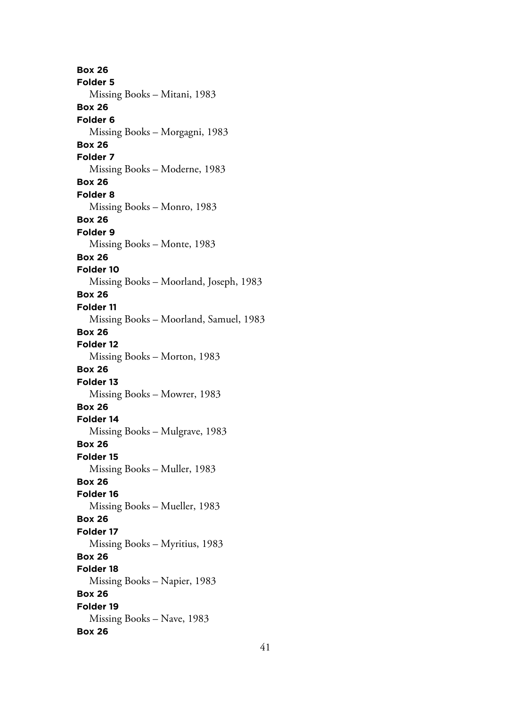**Box 26 Folder 5** Missing Books – Mitani, 1983 **Box 26 Folder 6** Missing Books – Morgagni, 1983 **Box 26 Folder 7** Missing Books – Moderne, 1983 **Box 26 Folder 8** Missing Books – Monro, 1983 **Box 26 Folder 9** Missing Books – Monte, 1983 **Box 26 Folder 10** Missing Books – Moorland, Joseph, 1983 **Box 26 Folder 11** Missing Books – Moorland, Samuel, 1983 **Box 26 Folder 12** Missing Books – Morton, 1983 **Box 26 Folder 13** Missing Books – Mowrer, 1983 **Box 26 Folder 14** Missing Books – Mulgrave, 1983 **Box 26 Folder 15** Missing Books – Muller, 1983 **Box 26 Folder 16** Missing Books – Mueller, 1983 **Box 26 Folder 17** Missing Books – Myritius, 1983 **Box 26 Folder 18** Missing Books – Napier, 1983 **Box 26 Folder 19** Missing Books – Nave, 1983 **Box 26**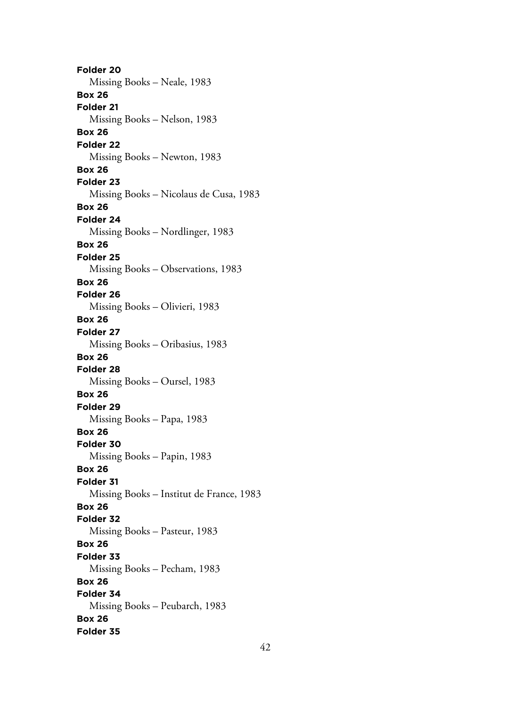**Folder 20** Missing Books – Neale, 1983 **Box 26 Folder 21** Missing Books – Nelson, 1983 **Box 26 Folder 22** Missing Books – Newton, 1983 **Box 26 Folder 23** Missing Books – Nicolaus de Cusa, 1983 **Box 26 Folder 24** Missing Books – Nordlinger, 1983 **Box 26 Folder 25** Missing Books – Observations, 1983 **Box 26 Folder 26** Missing Books – Olivieri, 1983 **Box 26 Folder 27** Missing Books – Oribasius, 1983 **Box 26 Folder 28** Missing Books – Oursel, 1983 **Box 26 Folder 29** Missing Books – Papa, 1983 **Box 26 Folder 30** Missing Books – Papin, 1983 **Box 26 Folder 31** Missing Books – Institut de France, 1983 **Box 26 Folder 32** Missing Books – Pasteur, 1983 **Box 26 Folder 33** Missing Books – Pecham, 1983 **Box 26 Folder 34** Missing Books – Peubarch, 1983 **Box 26 Folder 35**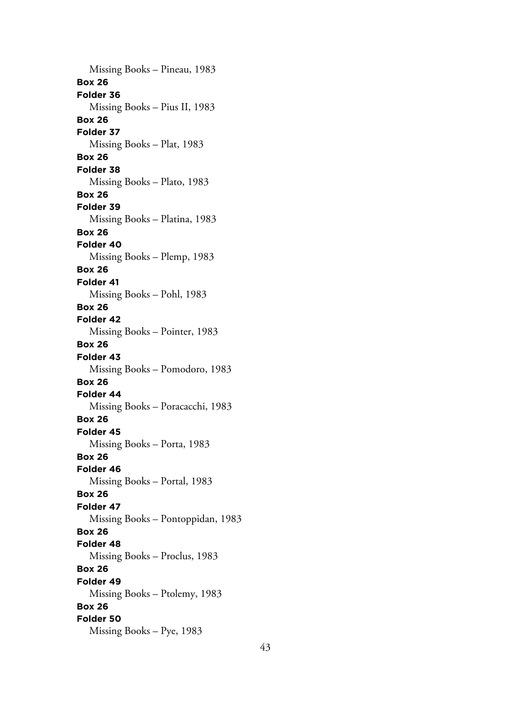Missing Books – Pineau, 1983 **Box 26 Folder 36** Missing Books – Pius II, 1983 **Box 26 Folder 37** Missing Books – Plat, 1983 **Box 26 Folder 38** Missing Books – Plato, 1983 **Box 26 Folder 39** Missing Books – Platina, 1983 **Box 26 Folder 40** Missing Books – Plemp, 1983 **Box 26 Folder 41** Missing Books – Pohl, 1983 **Box 26 Folder 42** Missing Books – Pointer, 1983 **Box 26 Folder 43** Missing Books – Pomodoro, 1983 **Box 26 Folder 44** Missing Books – Poracacchi, 1983 **Box 26 Folder 45** Missing Books – Porta, 1983 **Box 26 Folder 46** Missing Books – Portal, 1983 **Box 26 Folder 47** Missing Books – Pontoppidan, 1983 **Box 26 Folder 48** Missing Books – Proclus, 1983 **Box 26 Folder 49** Missing Books – Ptolemy, 1983 **Box 26 Folder 50** Missing Books – Pye, 1983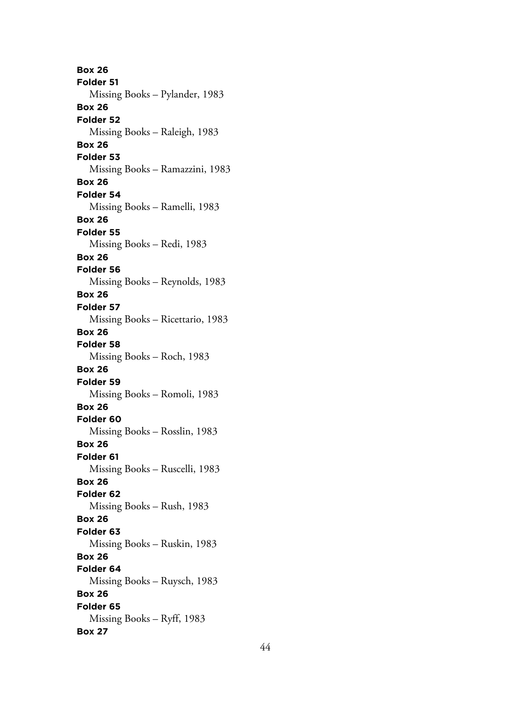**Box 26 Folder 51** Missing Books – Pylander, 1983 **Box 26 Folder 52** Missing Books – Raleigh, 1983 **Box 26 Folder 53** Missing Books – Ramazzini, 1983 **Box 26 Folder 54** Missing Books – Ramelli, 1983 **Box 26 Folder 55** Missing Books – Redi, 1983 **Box 26 Folder 56** Missing Books – Reynolds, 1983 **Box 26 Folder 57** Missing Books – Ricettario, 1983 **Box 26 Folder 58** Missing Books – Roch, 1983 **Box 26 Folder 59** Missing Books – Romoli, 1983 **Box 26 Folder 60** Missing Books – Rosslin, 1983 **Box 26 Folder 61** Missing Books – Ruscelli, 1983 **Box 26 Folder 62** Missing Books – Rush, 1983 **Box 26 Folder 63** Missing Books – Ruskin, 1983 **Box 26 Folder 64** Missing Books – Ruysch, 1983 **Box 26 Folder 65** Missing Books – Ryff, 1983 **Box 27**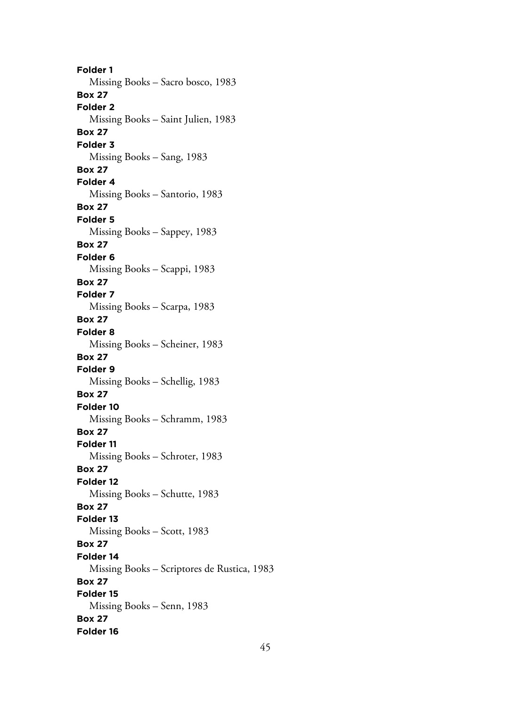**Folder 1** Missing Books – Sacro bosco, 1983 **Box 27 Folder 2** Missing Books – Saint Julien, 1983 **Box 27 Folder 3** Missing Books – Sang, 1983 **Box 27 Folder 4** Missing Books – Santorio, 1983 **Box 27 Folder 5** Missing Books – Sappey, 1983 **Box 27 Folder 6** Missing Books – Scappi, 1983 **Box 27 Folder 7** Missing Books – Scarpa, 1983 **Box 27 Folder 8** Missing Books – Scheiner, 1983 **Box 27 Folder 9** Missing Books – Schellig, 1983 **Box 27 Folder 10** Missing Books – Schramm, 1983 **Box 27 Folder 11** Missing Books – Schroter, 1983 **Box 27 Folder 12** Missing Books – Schutte, 1983 **Box 27 Folder 13** Missing Books – Scott, 1983 **Box 27 Folder 14** Missing Books – Scriptores de Rustica, 1983 **Box 27 Folder 15** Missing Books – Senn, 1983 **Box 27 Folder 16**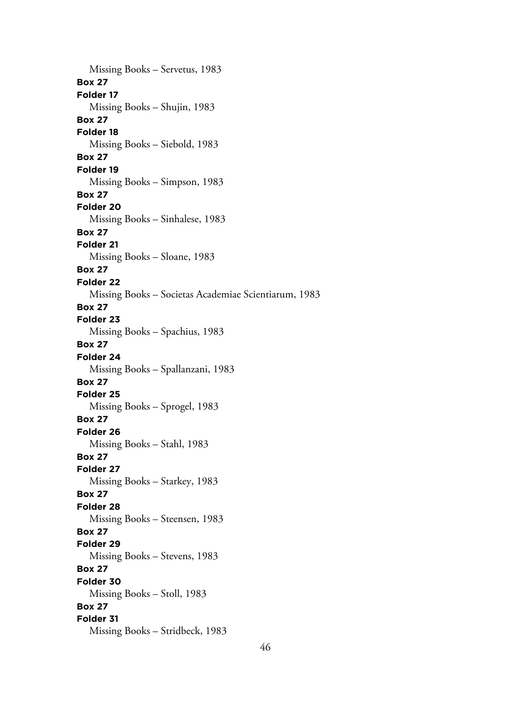Missing Books – Servetus, 1983 **Box 27 Folder 17** Missing Books – Shujin, 1983 **Box 27 Folder 18** Missing Books – Siebold, 1983 **Box 27 Folder 19** Missing Books – Simpson, 1983 **Box 27 Folder 20** Missing Books – Sinhalese, 1983 **Box 27 Folder 21** Missing Books – Sloane, 1983 **Box 27 Folder 22** Missing Books – Societas Academiae Scientiarum, 1983 **Box 27 Folder 23** Missing Books – Spachius, 1983 **Box 27 Folder 24** Missing Books – Spallanzani, 1983 **Box 27 Folder 25** Missing Books – Sprogel, 1983 **Box 27 Folder 26** Missing Books – Stahl, 1983 **Box 27 Folder 27** Missing Books – Starkey, 1983 **Box 27 Folder 28** Missing Books – Steensen, 1983 **Box 27 Folder 29** Missing Books – Stevens, 1983 **Box 27 Folder 30** Missing Books – Stoll, 1983 **Box 27 Folder 31** Missing Books – Stridbeck, 1983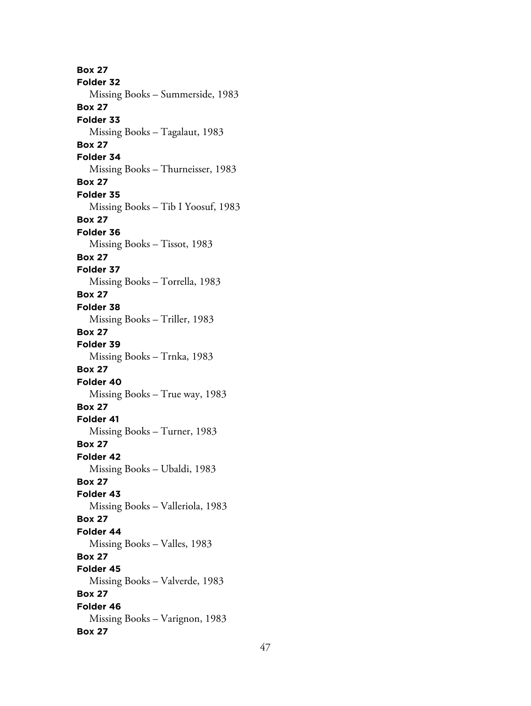**Box 27 Folder 32** Missing Books – Summerside, 1983 **Box 27 Folder 33** Missing Books – Tagalaut, 1983 **Box 27 Folder 34** Missing Books – Thurneisser, 1983 **Box 27 Folder 35** Missing Books – Tib I Yoosuf, 1983 **Box 27 Folder 36** Missing Books – Tissot, 1983 **Box 27 Folder 37** Missing Books – Torrella, 1983 **Box 27 Folder 38** Missing Books – Triller, 1983 **Box 27 Folder 39** Missing Books – Trnka, 1983 **Box 27 Folder 40** Missing Books – True way, 1983 **Box 27 Folder 41** Missing Books – Turner, 1983 **Box 27 Folder 42** Missing Books – Ubaldi, 1983 **Box 27 Folder 43** Missing Books – Valleriola, 1983 **Box 27 Folder 44** Missing Books – Valles, 1983 **Box 27 Folder 45** Missing Books – Valverde, 1983 **Box 27 Folder 46** Missing Books – Varignon, 1983 **Box 27**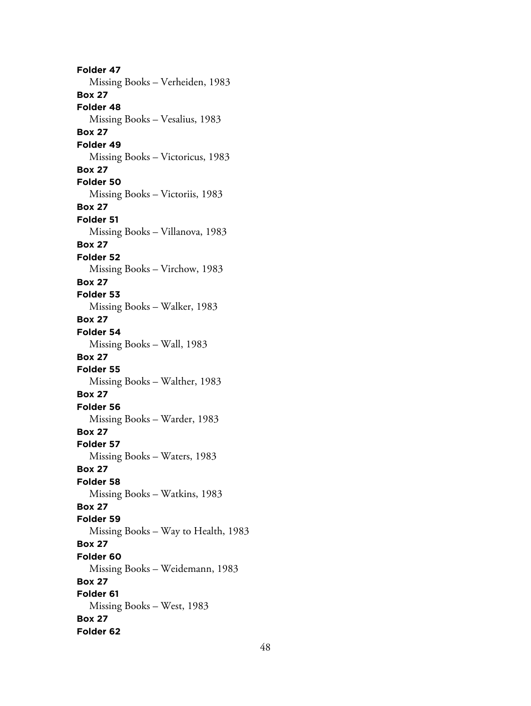**Folder 47** Missing Books – Verheiden, 1983 **Box 27 Folder 48** Missing Books – Vesalius, 1983 **Box 27 Folder 49** Missing Books – Victoricus, 1983 **Box 27 Folder 50** Missing Books – Victoriis, 1983 **Box 27 Folder 51** Missing Books – Villanova, 1983 **Box 27 Folder 52** Missing Books – Virchow, 1983 **Box 27 Folder 53** Missing Books – Walker, 1983 **Box 27 Folder 54** Missing Books – Wall, 1983 **Box 27 Folder 55** Missing Books – Walther, 1983 **Box 27 Folder 56** Missing Books – Warder, 1983 **Box 27 Folder 57** Missing Books – Waters, 1983 **Box 27 Folder 58** Missing Books – Watkins, 1983 **Box 27 Folder 59** Missing Books – Way to Health, 1983 **Box 27 Folder 60** Missing Books – Weidemann, 1983 **Box 27 Folder 61** Missing Books – West, 1983 **Box 27 Folder 62**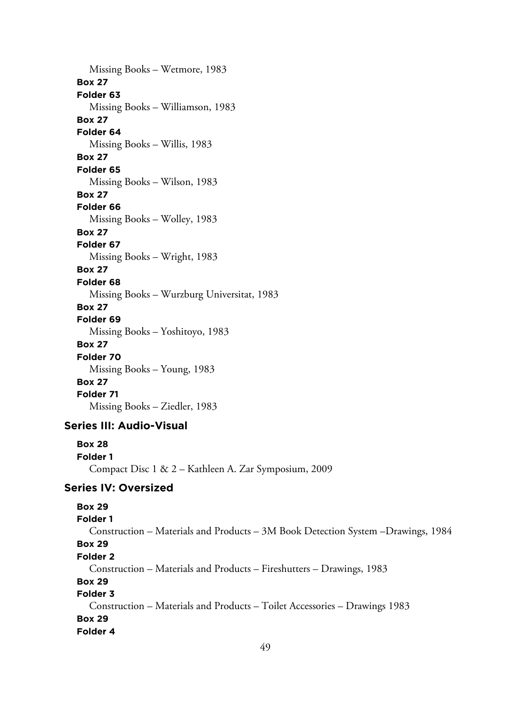Missing Books – Wetmore, 1983 **Box 27 Folder 63** Missing Books – Williamson, 1983 **Box 27 Folder 64** Missing Books – Willis, 1983 **Box 27 Folder 65** Missing Books – Wilson, 1983 **Box 27 Folder 66** Missing Books – Wolley, 1983 **Box 27 Folder 67** Missing Books – Wright, 1983 **Box 27 Folder 68** Missing Books – Wurzburg Universitat, 1983 **Box 27 Folder 69** Missing Books – Yoshitoyo, 1983 **Box 27 Folder 70** Missing Books – Young, 1983 **Box 27 Folder 71** Missing Books – Ziedler, 1983

## **Series III: Audio-Visual**

**Box 28 Folder 1** Compact Disc 1 & 2 – Kathleen A. Zar Symposium, 2009

## **Series IV: Oversized**

# **Box 29 Folder 1** Construction – Materials and Products – 3M Book Detection System –Drawings, 1984 **Box 29 Folder 2** Construction – Materials and Products – Fireshutters – Drawings, 1983 **Box 29 Folder 3** Construction – Materials and Products – Toilet Accessories – Drawings 1983 **Box 29 Folder 4**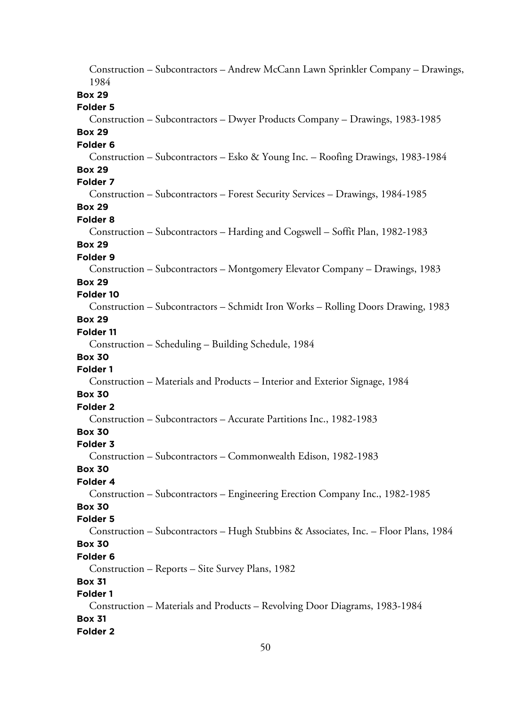Construction – Subcontractors – Andrew McCann Lawn Sprinkler Company – Drawings, 1984 **Box 29 Folder 5** Construction – Subcontractors – Dwyer Products Company – Drawings, 1983-1985 **Box 29 Folder 6** Construction – Subcontractors – Esko & Young Inc. – Roofing Drawings, 1983-1984 **Box 29 Folder 7** Construction – Subcontractors – Forest Security Services – Drawings, 1984-1985 **Box 29 Folder 8** Construction – Subcontractors – Harding and Cogswell – Soffit Plan, 1982-1983 **Box 29 Folder 9** Construction – Subcontractors – Montgomery Elevator Company – Drawings, 1983 **Box 29 Folder 10** Construction – Subcontractors – Schmidt Iron Works – Rolling Doors Drawing, 1983 **Box 29 Folder 11** Construction – Scheduling – Building Schedule, 1984 **Box 30 Folder 1** Construction – Materials and Products – Interior and Exterior Signage, 1984 **Box 30 Folder 2** Construction – Subcontractors – Accurate Partitions Inc., 1982-1983 **Box 30 Folder 3** Construction – Subcontractors – Commonwealth Edison, 1982-1983 **Box 30 Folder 4** Construction – Subcontractors – Engineering Erection Company Inc., 1982-1985 **Box 30 Folder 5** Construction – Subcontractors – Hugh Stubbins & Associates, Inc. – Floor Plans, 1984 **Box 30 Folder 6** Construction – Reports – Site Survey Plans, 1982 **Box 31 Folder 1** Construction – Materials and Products – Revolving Door Diagrams, 1983-1984 **Box 31 Folder 2**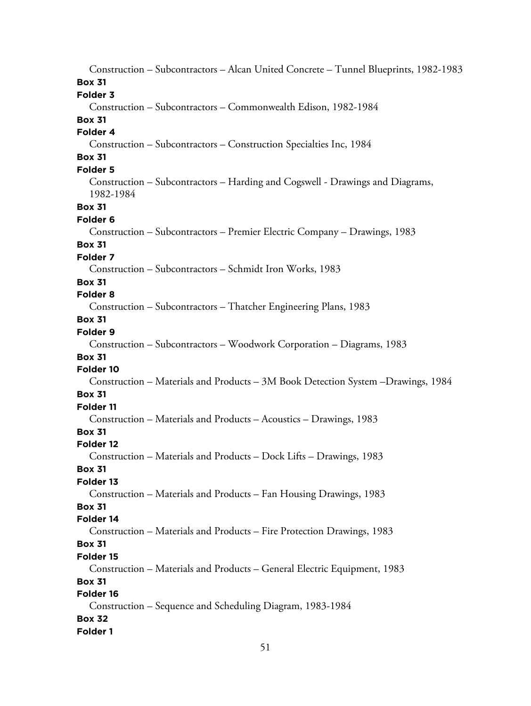Construction – Subcontractors – Alcan United Concrete – Tunnel Blueprints, 1982-1983 **Box 31 Folder 3** Construction – Subcontractors – Commonwealth Edison, 1982-1984 **Box 31 Folder 4** Construction – Subcontractors – Construction Specialties Inc, 1984 **Box 31 Folder 5** Construction – Subcontractors – Harding and Cogswell - Drawings and Diagrams, 1982-1984 **Box 31 Folder 6** Construction – Subcontractors – Premier Electric Company – Drawings, 1983 **Box 31 Folder 7** Construction – Subcontractors – Schmidt Iron Works, 1983 **Box 31 Folder 8** Construction – Subcontractors – Thatcher Engineering Plans, 1983 **Box 31 Folder 9** Construction – Subcontractors – Woodwork Corporation – Diagrams, 1983 **Box 31 Folder 10** Construction – Materials and Products – 3M Book Detection System –Drawings, 1984 **Box 31 Folder 11** Construction – Materials and Products – Acoustics – Drawings, 1983 **Box 31 Folder 12** Construction – Materials and Products – Dock Lifts – Drawings, 1983 **Box 31 Folder 13** Construction – Materials and Products – Fan Housing Drawings, 1983 **Box 31 Folder 14** Construction – Materials and Products – Fire Protection Drawings, 1983 **Box 31 Folder 15** Construction – Materials and Products – General Electric Equipment, 1983 **Box 31 Folder 16** Construction – Sequence and Scheduling Diagram, 1983-1984 **Box 32 Folder 1**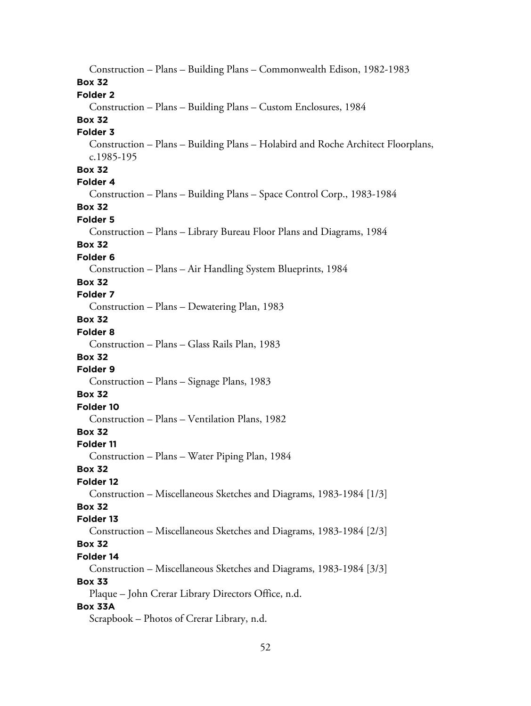Construction – Plans – Building Plans – Commonwealth Edison, 1982-1983 **Box 32 Folder 2** Construction – Plans – Building Plans – Custom Enclosures, 1984 **Box 32 Folder 3** Construction – Plans – Building Plans – Holabird and Roche Architect Floorplans, c.1985-195 **Box 32 Folder 4** Construction – Plans – Building Plans – Space Control Corp., 1983-1984 **Box 32 Folder 5** Construction – Plans – Library Bureau Floor Plans and Diagrams, 1984 **Box 32 Folder 6** Construction – Plans – Air Handling System Blueprints, 1984 **Box 32 Folder 7** Construction – Plans – Dewatering Plan, 1983 **Box 32 Folder 8** Construction – Plans – Glass Rails Plan, 1983 **Box 32 Folder 9** Construction – Plans – Signage Plans, 1983 **Box 32 Folder 10** Construction – Plans – Ventilation Plans, 1982 **Box 32 Folder 11** Construction – Plans – Water Piping Plan, 1984 **Box 32 Folder 12** Construction – Miscellaneous Sketches and Diagrams, 1983-1984 [1/3] **Box 32 Folder 13** Construction – Miscellaneous Sketches and Diagrams, 1983-1984 [2/3] **Box 32 Folder 14** Construction – Miscellaneous Sketches and Diagrams, 1983-1984 [3/3] **Box 33** Plaque – John Crerar Library Directors Office, n.d. **Box 33A** Scrapbook – Photos of Crerar Library, n.d.